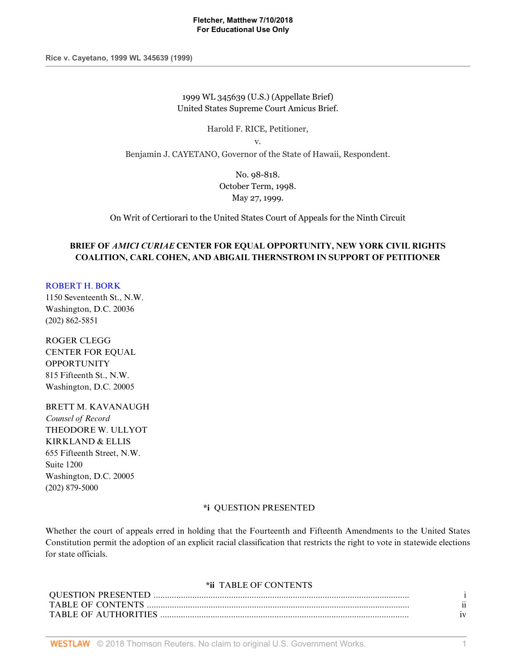**Rice v. Cayetano, 1999 WL 345639 (1999)**

1999 WL 345639 (U.S.) (Appellate Brief) United States Supreme Court Amicus Brief.

Harold F. RICE, Petitioner,

v.

Benjamin J. CAYETANO, Governor of the State of Hawaii, Respondent.

No. 98-818. October Term, 1998. May 27, 1999.

On Writ of Certiorari to the United States Court of Appeals for the Ninth Circuit

# **BRIEF OF** *AMICI CURIAE* **CENTER FOR EQUAL OPPORTUNITY, NEW YORK CIVIL RIGHTS COALITION, CARL COHEN, AND ABIGAIL THERNSTROM IN SUPPORT OF PETITIONER**

#### [ROBERT H. BORK](http://www.westlaw.com/Link/Document/FullText?findType=h&pubNum=176284&cite=0105444801&originatingDoc=I52e8e4b26bef11d8afd1fdfc79654ecb&refType=RQ&originationContext=document&vr=3.0&rs=cblt1.0&transitionType=DocumentItem&contextData=(sc.Default))

1150 Seventeenth St., N.W. Washington, D.C. 20036 (202) 862-5851

ROGER CLEGG CENTER FOR EQUAL **OPPORTUNITY** 815 Fifteenth St., N.W. Washington, D.C. 20005

### BRETT M. KAVANAUGH

*Counsel of Record* THEODORE W. ULLYOT KIRKLAND & ELLIS 655 Fifteenth Street, N.W. Suite 1200 Washington, D.C. 20005 (202) 879-5000

### **\*i** QUESTION PRESENTED

Whether the court of appeals erred in holding that the Fourteenth and Fifteenth Amendments to the United States Constitution permit the adoption of an explicit racial classification that restricts the right to vote in statewide elections for state officials.

### **\*ii** TABLE OF CONTENTS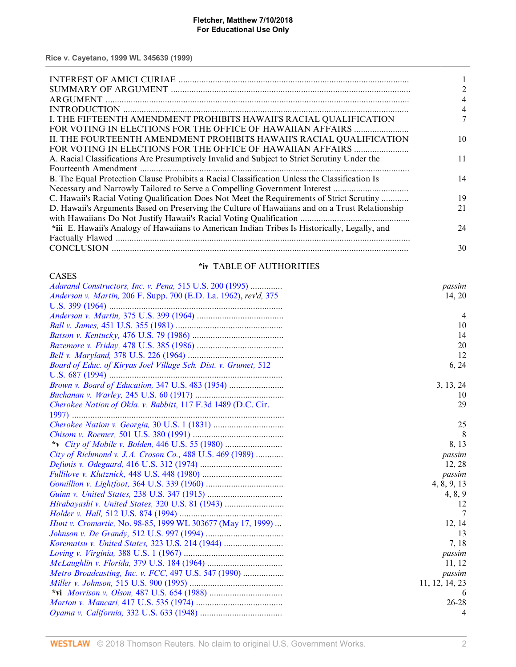| I. THE FIFTEENTH AMENDMENT PROHIBITS HAWAII'S RACIAL QUALIFICATION                             |    |
|------------------------------------------------------------------------------------------------|----|
|                                                                                                |    |
| II. THE FOURTEENTH AMENDMENT PROHIBITS HAWAII'S RACIAL QUALIFICATION                           | 10 |
|                                                                                                |    |
| A. Racial Classifications Are Presumptively Invalid and Subject to Strict Scrutiny Under the   | 11 |
|                                                                                                |    |
| B. The Equal Protection Clause Prohibits a Racial Classification Unless the Classification Is  | 14 |
|                                                                                                |    |
| C. Hawaii's Racial Voting Qualification Does Not Meet the Requirements of Strict Scrutiny      | 19 |
| D. Hawaii's Arguments Based on Preserving the Culture of Hawaiians and on a Trust Relationship | 21 |
|                                                                                                |    |
| *iii E. Hawaii's Analogy of Hawaiians to American Indian Tribes Is Historically, Legally, and  | 24 |
|                                                                                                |    |
|                                                                                                | 30 |
|                                                                                                |    |

# **\*iv** TABLE OF AUTHORITIES

| <b>CASES</b>                                                        |                |
|---------------------------------------------------------------------|----------------|
| Adarand Constructors, Inc. v. Pena, 515 U.S. 200 (1995)             | passim         |
| Anderson v. Martin, 206 F. Supp. 700 (E.D. La. 1962), rev'd, 375    | 14, 20         |
|                                                                     |                |
|                                                                     | $\overline{4}$ |
|                                                                     | 10             |
|                                                                     | 14             |
|                                                                     | 20             |
|                                                                     | 12             |
| Board of Educ. of Kiryas Joel Village Sch. Dist. v. Grumet, 512     | 6, 24          |
|                                                                     |                |
| Brown v. Board of Education, 347 U.S. 483 (1954)                    | 3, 13, 24      |
|                                                                     | 10             |
| Cherokee Nation of Okla. v. Babbitt, 117 F.3d 1489 (D.C. Cir.       | 29             |
|                                                                     |                |
|                                                                     | 25             |
|                                                                     | 8              |
|                                                                     | 8, 13          |
| City of Richmond v. J.A. Croson Co., 488 U.S. 469 (1989)            | passim         |
|                                                                     | 12, 28         |
|                                                                     | passim         |
|                                                                     | 4, 8, 9, 13    |
|                                                                     | 4, 8, 9        |
|                                                                     | 12             |
|                                                                     | 7              |
| <i>Hunt v. Cromartie, No. 98-85, 1999 WL 303677 (May 17, 1999) </i> | 12, 14         |
|                                                                     | 13             |
|                                                                     | 7,18           |
|                                                                     | passim         |
|                                                                     | 11, 12         |
| Metro Broadcasting, Inc. v. FCC, 497 U.S. 547 (1990)                | passim         |
|                                                                     | 11, 12, 14, 23 |
|                                                                     | $\theta$       |
|                                                                     | $26 - 28$      |
|                                                                     | 4              |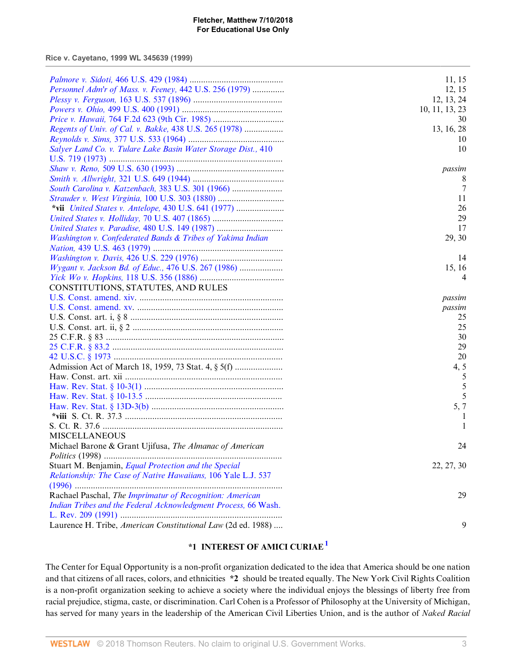**Rice v. Cayetano, 1999 WL 345639 (1999)**

|                                                                | 11, 15         |
|----------------------------------------------------------------|----------------|
| Personnel Adm'r of Mass. v. Feeney, 442 U.S. 256 (1979)        | 12, 15         |
|                                                                | 12, 13, 24     |
|                                                                | 10, 11, 13, 23 |
|                                                                | 30             |
| Regents of Univ. of Cal. v. Bakke, 438 U.S. 265 (1978)         | 13, 16, 28     |
|                                                                | 10             |
| Salyer Land Co. v. Tulare Lake Basin Water Storage Dist., 410  | 10             |
|                                                                |                |
|                                                                | passim         |
|                                                                | 8              |
| South Carolina v. Katzenbach, 383 U.S. 301 (1966)              | 7              |
| Strauder v. West Virginia, 100 U.S. 303 (1880)                 | 11             |
|                                                                | 26             |
|                                                                |                |
| United States v. Holliday, 70 U.S. 407 (1865)                  | 29             |
| United States v. Paradise, 480 U.S. 149 (1987)                 | 17             |
| Washington v. Confederated Bands & Tribes of Yakima Indian     | 29, 30         |
|                                                                |                |
|                                                                | 14             |
| Wygant v. Jackson Bd. of Educ., 476 U.S. 267 (1986)            | 15, 16         |
|                                                                | 4              |
| CONSTITUTIONS, STATUTES, AND RULES                             |                |
|                                                                | passim         |
|                                                                | passim         |
|                                                                | 25             |
|                                                                | 25             |
|                                                                | 30             |
|                                                                | 29             |
|                                                                | 20             |
|                                                                | 4, 5           |
|                                                                | 5              |
|                                                                | 5              |
|                                                                | 5              |
|                                                                | 5, 7           |
|                                                                |                |
|                                                                |                |
| <b>MISCELLANEOUS</b>                                           |                |
| Michael Barone & Grant Ujifusa, The Almanac of American        | 24             |
|                                                                |                |
| Stuart M. Benjamin, Equal Protection and the Special           | 22, 27, 30     |
| Relationship: The Case of Native Hawaiians, 106 Yale L.J. 537  |                |
|                                                                |                |
| Rachael Paschal, The Imprimatur of Recognition: American       | 29             |
| Indian Tribes and the Federal Acknowledgment Process, 66 Wash. |                |
|                                                                |                |
| Laurence H. Tribe, American Constitutional Law (2d ed. 1988)   | 9              |
|                                                                |                |

# <span id="page-2-0"></span>**\*1 INTEREST OF AMICI CURIAE[1](#page-15-0)**

The Center for Equal Opportunity is a non-profit organization dedicated to the idea that America should be one nation and that citizens of all races, colors, and ethnicities **\*2** should be treated equally. The New York Civil Rights Coalition is a non-profit organization seeking to achieve a society where the individual enjoys the blessings of liberty free from racial prejudice, stigma, caste, or discrimination. Carl Cohen is a Professor of Philosophy at the University of Michigan, has served for many years in the leadership of the American Civil Liberties Union, and is the author of *Naked Racial*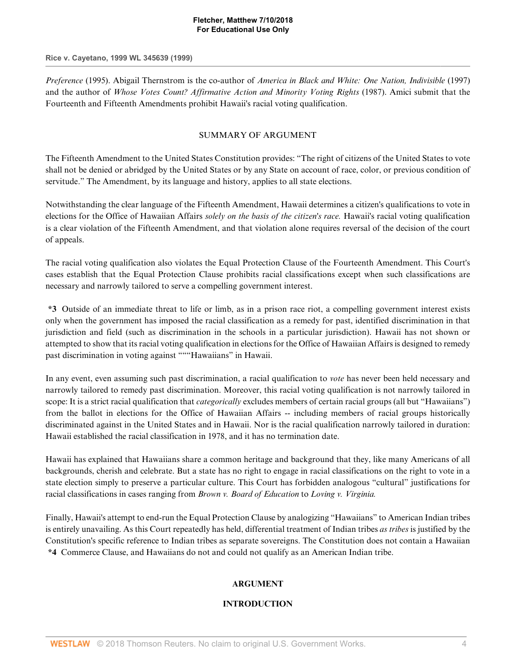### **Rice v. Cayetano, 1999 WL 345639 (1999)**

*Preference* (1995). Abigail Thernstrom is the co-author of *America in Black and White: One Nation, Indivisible* (1997) and the author of *Whose Votes Count? Affirmative Action and Minority Voting Rights* (1987). Amici submit that the Fourteenth and Fifteenth Amendments prohibit Hawaii's racial voting qualification.

## SUMMARY OF ARGUMENT

The Fifteenth Amendment to the United States Constitution provides: "The right of citizens of the United States to vote shall not be denied or abridged by the United States or by any State on account of race, color, or previous condition of servitude." The Amendment, by its language and history, applies to all state elections.

Notwithstanding the clear language of the Fifteenth Amendment, Hawaii determines a citizen's qualifications to vote in elections for the Office of Hawaiian Affairs *solely on the basis of the citizen's race.* Hawaii's racial voting qualification is a clear violation of the Fifteenth Amendment, and that violation alone requires reversal of the decision of the court of appeals.

The racial voting qualification also violates the Equal Protection Clause of the Fourteenth Amendment. This Court's cases establish that the Equal Protection Clause prohibits racial classifications except when such classifications are necessary and narrowly tailored to serve a compelling government interest.

**\*3** Outside of an immediate threat to life or limb, as in a prison race riot, a compelling government interest exists only when the government has imposed the racial classification as a remedy for past, identified discrimination in that jurisdiction and field (such as discrimination in the schools in a particular jurisdiction). Hawaii has not shown or attempted to show that its racial voting qualification in elections for the Office of Hawaiian Affairs is designed to remedy past discrimination in voting against """Hawaiians" in Hawaii.

In any event, even assuming such past discrimination, a racial qualification to *vote* has never been held necessary and narrowly tailored to remedy past discrimination. Moreover, this racial voting qualification is not narrowly tailored in scope: It is a strict racial qualification that *categorically* excludes members of certain racial groups (all but "Hawaiians") from the ballot in elections for the Office of Hawaiian Affairs -- including members of racial groups historically discriminated against in the United States and in Hawaii. Nor is the racial qualification narrowly tailored in duration: Hawaii established the racial classification in 1978, and it has no termination date.

Hawaii has explained that Hawaiians share a common heritage and background that they, like many Americans of all backgrounds, cherish and celebrate. But a state has no right to engage in racial classifications on the right to vote in a state election simply to preserve a particular culture. This Court has forbidden analogous "cultural" justifications for racial classifications in cases ranging from *Brown v. Board of Education* to *Loving v. Virginia.*

Finally, Hawaii's attempt to end-run the Equal Protection Clause by analogizing "Hawaiians" to American Indian tribes is entirely unavailing. As this Court repeatedly has held, differential treatment of Indian tribes *as tribes* is justified by the Constitution's specific reference to Indian tribes as separate sovereigns. The Constitution does not contain a Hawaiian **\*4** Commerce Clause, and Hawaiians do not and could not qualify as an American Indian tribe.

# **ARGUMENT**

# **INTRODUCTION**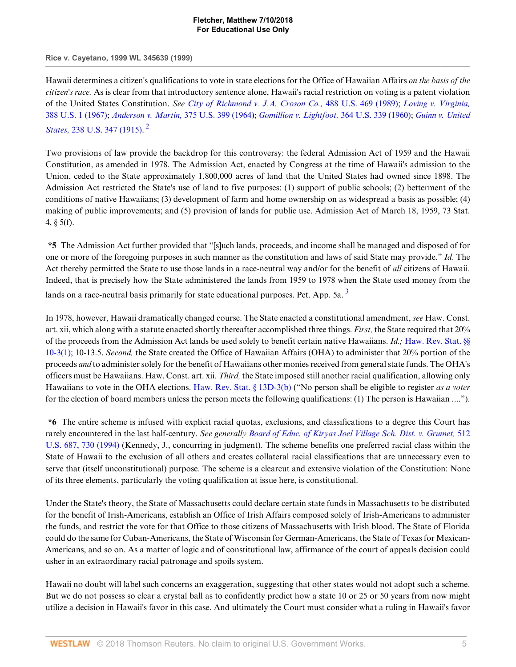**Rice v. Cayetano, 1999 WL 345639 (1999)**

Hawaii determines a citizen's qualifications to vote in state elections for the Office of Hawaiian Affairs *on the basis of the citizen's race.* As is clear from that introductory sentence alone, Hawaii's racial restriction on voting is a patent violation of the United States Constitution. *See [City of Richmond v. J.A. Croson Co.,](http://www.westlaw.com/Link/Document/FullText?findType=Y&serNum=1989012998&pubNum=780&originatingDoc=I52e8e4b26bef11d8afd1fdfc79654ecb&refType=RP&originationContext=document&vr=3.0&rs=cblt1.0&transitionType=DocumentItem&contextData=(sc.Default))* 488 U.S. 469 (1989); *[Loving v. Virginia,](http://www.westlaw.com/Link/Document/FullText?findType=Y&serNum=1967129542&pubNum=780&originatingDoc=I52e8e4b26bef11d8afd1fdfc79654ecb&refType=RP&originationContext=document&vr=3.0&rs=cblt1.0&transitionType=DocumentItem&contextData=(sc.Default))* [388 U.S. 1 \(1967\)](http://www.westlaw.com/Link/Document/FullText?findType=Y&serNum=1967129542&pubNum=780&originatingDoc=I52e8e4b26bef11d8afd1fdfc79654ecb&refType=RP&originationContext=document&vr=3.0&rs=cblt1.0&transitionType=DocumentItem&contextData=(sc.Default)); *Anderson v. Martin,* [375 U.S. 399 \(1964\);](http://www.westlaw.com/Link/Document/FullText?findType=Y&serNum=1964124760&pubNum=780&originatingDoc=I52e8e4b26bef11d8afd1fdfc79654ecb&refType=RP&originationContext=document&vr=3.0&rs=cblt1.0&transitionType=DocumentItem&contextData=(sc.Default)) *[Gomillion v. Lightfoot,](http://www.westlaw.com/Link/Document/FullText?findType=Y&serNum=1960122585&pubNum=780&originatingDoc=I52e8e4b26bef11d8afd1fdfc79654ecb&refType=RP&originationContext=document&vr=3.0&rs=cblt1.0&transitionType=DocumentItem&contextData=(sc.Default))* 364 U.S. 339 (1960); *[Guinn v. United](http://www.westlaw.com/Link/Document/FullText?findType=Y&serNum=1915100071&pubNum=780&originatingDoc=I52e8e4b26bef11d8afd1fdfc79654ecb&refType=RP&originationContext=document&vr=3.0&rs=cblt1.0&transitionType=DocumentItem&contextData=(sc.Default)) States,* [238 U.S. 347 \(1915\)](http://www.westlaw.com/Link/Document/FullText?findType=Y&serNum=1915100071&pubNum=780&originatingDoc=I52e8e4b26bef11d8afd1fdfc79654ecb&refType=RP&originationContext=document&vr=3.0&rs=cblt1.0&transitionType=DocumentItem&contextData=(sc.Default)). [2](#page-15-1)

<span id="page-4-0"></span>Two provisions of law provide the backdrop for this controversy: the federal Admission Act of 1959 and the Hawaii Constitution, as amended in 1978. The Admission Act, enacted by Congress at the time of Hawaii's admission to the Union, ceded to the State approximately 1,800,000 acres of land that the United States had owned since 1898. The Admission Act restricted the State's use of land to five purposes: (1) support of public schools; (2) betterment of the conditions of native Hawaiians; (3) development of farm and home ownership on as widespread a basis as possible; (4) making of public improvements; and (5) provision of lands for public use. Admission Act of March 18, 1959, 73 Stat. 4,  $\S$  5(f).

**\*5** The Admission Act further provided that "[s]uch lands, proceeds, and income shall be managed and disposed of for one or more of the foregoing purposes in such manner as the constitution and laws of said State may provide." *Id.* The Act thereby permitted the State to use those lands in a race-neutral way and/or for the benefit of *all* citizens of Hawaii. Indeed, that is precisely how the State administered the lands from 1959 to 1978 when the State used money from the lands on a race-neutral basis primarily for state educational purposes. Pet. App. 5a.<sup>[3](#page-15-2)</sup>

<span id="page-4-1"></span>In 1978, however, Hawaii dramatically changed course. The State enacted a constitutional amendment, *see* Haw. Const. art. xii, which along with a statute enacted shortly thereafter accomplished three things. *First,* the State required that 20% of the proceeds from the Admission Act lands be used solely to benefit certain native Hawaiians. *Id.;* [Haw. Rev. Stat. §§](http://www.westlaw.com/Link/Document/FullText?findType=L&pubNum=1000522&cite=HISTS10-3&originatingDoc=I52e8e4b26bef11d8afd1fdfc79654ecb&refType=LQ&originationContext=document&vr=3.0&rs=cblt1.0&transitionType=DocumentItem&contextData=(sc.Default)) [10-3\(1\);](http://www.westlaw.com/Link/Document/FullText?findType=L&pubNum=1000522&cite=HISTS10-3&originatingDoc=I52e8e4b26bef11d8afd1fdfc79654ecb&refType=LQ&originationContext=document&vr=3.0&rs=cblt1.0&transitionType=DocumentItem&contextData=(sc.Default)) 10-13.5. *Second,* the State created the Office of Hawaiian Affairs (OHA) to administer that 20% portion of the proceeds *and* to administer solely for the benefit of Hawaiians other monies received from general state funds. The OHA's officers must be Hawaiians. Haw. Const. art. xii. *Third,* the State imposed still another racial qualification, allowing only Hawaiians to vote in the OHA elections. [Haw. Rev. Stat. § 13D-3\(b\)](http://www.westlaw.com/Link/Document/FullText?findType=L&pubNum=1000522&cite=HISTS13D-3&originatingDoc=I52e8e4b26bef11d8afd1fdfc79654ecb&refType=LQ&originationContext=document&vr=3.0&rs=cblt1.0&transitionType=DocumentItem&contextData=(sc.Default)) ("No person shall be eligible to register *as a voter* for the election of board members unless the person meets the following qualifications: (1) The person is Hawaiian ....").

**\*6** The entire scheme is infused with explicit racial quotas, exclusions, and classifications to a degree this Court has rarely encountered in the last half-century. *See generally [Board of Educ. of Kiryas Joel Village Sch. Dist. v. Grumet,](http://www.westlaw.com/Link/Document/FullText?findType=Y&serNum=1994136430&pubNum=780&originatingDoc=I52e8e4b26bef11d8afd1fdfc79654ecb&refType=RP&fi=co_pp_sp_780_730&originationContext=document&vr=3.0&rs=cblt1.0&transitionType=DocumentItem&contextData=(sc.Default)#co_pp_sp_780_730)* 512 [U.S. 687, 730 \(1994\)](http://www.westlaw.com/Link/Document/FullText?findType=Y&serNum=1994136430&pubNum=780&originatingDoc=I52e8e4b26bef11d8afd1fdfc79654ecb&refType=RP&fi=co_pp_sp_780_730&originationContext=document&vr=3.0&rs=cblt1.0&transitionType=DocumentItem&contextData=(sc.Default)#co_pp_sp_780_730) (Kennedy, J., concurring in judgment). The scheme benefits one preferred racial class within the State of Hawaii to the exclusion of all others and creates collateral racial classifications that are unnecessary even to serve that (itself unconstitutional) purpose. The scheme is a clearcut and extensive violation of the Constitution: None of its three elements, particularly the voting qualification at issue here, is constitutional.

Under the State's theory, the State of Massachusetts could declare certain state funds in Massachusetts to be distributed for the benefit of Irish-Americans, establish an Office of Irish Affairs composed solely of Irish-Americans to administer the funds, and restrict the vote for that Office to those citizens of Massachusetts with Irish blood. The State of Florida could do the same for Cuban-Americans, the State of Wisconsin for German-Americans, the State of Texas for Mexican-Americans, and so on. As a matter of logic and of constitutional law, affirmance of the court of appeals decision could usher in an extraordinary racial patronage and spoils system.

Hawaii no doubt will label such concerns an exaggeration, suggesting that other states would not adopt such a scheme. But we do not possess so clear a crystal ball as to confidently predict how a state 10 or 25 or 50 years from now might utilize a decision in Hawaii's favor in this case. And ultimately the Court must consider what a ruling in Hawaii's favor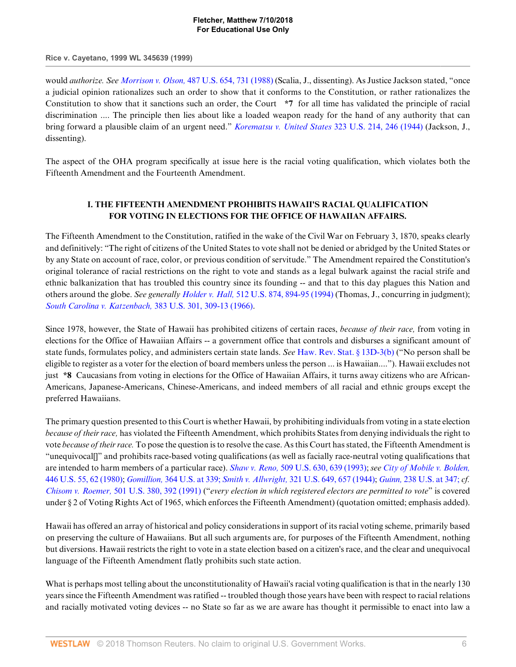**Rice v. Cayetano, 1999 WL 345639 (1999)**

would *authorize. See Morrison v. Olson,* [487 U.S. 654, 731 \(1988\)](http://www.westlaw.com/Link/Document/FullText?findType=Y&serNum=1988084192&pubNum=780&originatingDoc=I52e8e4b26bef11d8afd1fdfc79654ecb&refType=RP&fi=co_pp_sp_780_731&originationContext=document&vr=3.0&rs=cblt1.0&transitionType=DocumentItem&contextData=(sc.Default)#co_pp_sp_780_731) (Scalia, J., dissenting). As Justice Jackson stated, "once a judicial opinion rationalizes such an order to show that it conforms to the Constitution, or rather rationalizes the Constitution to show that it sanctions such an order, the Court **\*7** for all time has validated the principle of racial discrimination .... The principle then lies about like a loaded weapon ready for the hand of any authority that can bring forward a plausible claim of an urgent need." *[Korematsu v. United States](http://www.westlaw.com/Link/Document/FullText?findType=Y&serNum=1944118365&pubNum=780&originatingDoc=I52e8e4b26bef11d8afd1fdfc79654ecb&refType=RP&fi=co_pp_sp_780_246&originationContext=document&vr=3.0&rs=cblt1.0&transitionType=DocumentItem&contextData=(sc.Default)#co_pp_sp_780_246)* 323 U.S. 214, 246 (1944) (Jackson, J., dissenting).

The aspect of the OHA program specifically at issue here is the racial voting qualification, which violates both the Fifteenth Amendment and the Fourteenth Amendment.

# **I. THE FIFTEENTH AMENDMENT PROHIBITS HAWAII'S RACIAL QUALIFICATION FOR VOTING IN ELECTIONS FOR THE OFFICE OF HAWAIIAN AFFAIRS.**

The Fifteenth Amendment to the Constitution, ratified in the wake of the Civil War on February 3, 1870, speaks clearly and definitively: "The right of citizens of the United States to vote shall not be denied or abridged by the United States or by any State on account of race, color, or previous condition of servitude." The Amendment repaired the Constitution's original tolerance of racial restrictions on the right to vote and stands as a legal bulwark against the racial strife and ethnic balkanization that has troubled this country since its founding -- and that to this day plagues this Nation and others around the globe. *See generally Holder v. Hall,* [512 U.S. 874, 894-95 \(1994\)](http://www.westlaw.com/Link/Document/FullText?findType=Y&serNum=1994139847&pubNum=780&originatingDoc=I52e8e4b26bef11d8afd1fdfc79654ecb&refType=RP&fi=co_pp_sp_780_894&originationContext=document&vr=3.0&rs=cblt1.0&transitionType=DocumentItem&contextData=(sc.Default)#co_pp_sp_780_894) (Thomas, J., concurring in judgment); *[South Carolina v. Katzenbach,](http://www.westlaw.com/Link/Document/FullText?findType=Y&serNum=1966112607&pubNum=780&originatingDoc=I52e8e4b26bef11d8afd1fdfc79654ecb&refType=RP&fi=co_pp_sp_780_309&originationContext=document&vr=3.0&rs=cblt1.0&transitionType=DocumentItem&contextData=(sc.Default)#co_pp_sp_780_309)* 383 U.S. 301, 309-13 (1966).

Since 1978, however, the State of Hawaii has prohibited citizens of certain races, *because of their race,* from voting in elections for the Office of Hawaiian Affairs -- a government office that controls and disburses a significant amount of state funds, formulates policy, and administers certain state lands. *See* [Haw. Rev. Stat. § 13D-3\(b\)](http://www.westlaw.com/Link/Document/FullText?findType=L&pubNum=1000522&cite=HISTS13D-3&originatingDoc=I52e8e4b26bef11d8afd1fdfc79654ecb&refType=LQ&originationContext=document&vr=3.0&rs=cblt1.0&transitionType=DocumentItem&contextData=(sc.Default)) ("No person shall be eligible to register as a voter for the election of board members unless the person ... is Hawaiian...."). Hawaii excludes not just **\*8** Caucasians from voting in elections for the Office of Hawaiian Affairs, it turns away citizens who are African-Americans, Japanese-Americans, Chinese-Americans, and indeed members of all racial and ethnic groups except the preferred Hawaiians.

The primary question presented to this Court is whether Hawaii, by prohibiting individuals from voting in a state election *because of their race,* has violated the Fifteenth Amendment, which prohibits States from denying individuals the right to vote *because of their race.* To pose the question is to resolve the case. As this Court has stated, the Fifteenth Amendment is "unequivocal[]" and prohibits race-based voting qualifications (as well as facially race-neutral voting qualifications that are intended to harm members of a particular race). *Shaw v. Reno,* [509 U.S. 630, 639 \(1993\)](http://www.westlaw.com/Link/Document/FullText?findType=Y&serNum=1993130653&pubNum=780&originatingDoc=I52e8e4b26bef11d8afd1fdfc79654ecb&refType=RP&fi=co_pp_sp_780_639&originationContext=document&vr=3.0&rs=cblt1.0&transitionType=DocumentItem&contextData=(sc.Default)#co_pp_sp_780_639); *see [City of Mobile v. Bolden,](http://www.westlaw.com/Link/Document/FullText?findType=Y&serNum=1980111419&pubNum=780&originatingDoc=I52e8e4b26bef11d8afd1fdfc79654ecb&refType=RP&fi=co_pp_sp_780_62&originationContext=document&vr=3.0&rs=cblt1.0&transitionType=DocumentItem&contextData=(sc.Default)#co_pp_sp_780_62)* [446 U.S. 55, 62 \(1980\);](http://www.westlaw.com/Link/Document/FullText?findType=Y&serNum=1980111419&pubNum=780&originatingDoc=I52e8e4b26bef11d8afd1fdfc79654ecb&refType=RP&fi=co_pp_sp_780_62&originationContext=document&vr=3.0&rs=cblt1.0&transitionType=DocumentItem&contextData=(sc.Default)#co_pp_sp_780_62) *Gomillion,* [364 U.S. at 339;](http://www.westlaw.com/Link/Document/FullText?findType=Y&serNum=1960122585&pubNum=780&originatingDoc=I52e8e4b26bef11d8afd1fdfc79654ecb&refType=RP&fi=co_pp_sp_780_339&originationContext=document&vr=3.0&rs=cblt1.0&transitionType=DocumentItem&contextData=(sc.Default)#co_pp_sp_780_339) *Smith v. Allwright,* [321 U.S. 649, 657 \(1944\)](http://www.westlaw.com/Link/Document/FullText?findType=Y&serNum=1944117055&pubNum=780&originatingDoc=I52e8e4b26bef11d8afd1fdfc79654ecb&refType=RP&fi=co_pp_sp_780_657&originationContext=document&vr=3.0&rs=cblt1.0&transitionType=DocumentItem&contextData=(sc.Default)#co_pp_sp_780_657); *Guinn,* [238 U.S. at 347;](http://www.westlaw.com/Link/Document/FullText?findType=Y&serNum=1915100071&pubNum=780&originatingDoc=I52e8e4b26bef11d8afd1fdfc79654ecb&refType=RP&fi=co_pp_sp_780_347&originationContext=document&vr=3.0&rs=cblt1.0&transitionType=DocumentItem&contextData=(sc.Default)#co_pp_sp_780_347) *cf. Chisom v. Roemer,* [501 U.S. 380, 392 \(1991\)](http://www.westlaw.com/Link/Document/FullText?findType=Y&serNum=1991112208&pubNum=780&originatingDoc=I52e8e4b26bef11d8afd1fdfc79654ecb&refType=RP&fi=co_pp_sp_780_392&originationContext=document&vr=3.0&rs=cblt1.0&transitionType=DocumentItem&contextData=(sc.Default)#co_pp_sp_780_392) ("*every election in which registered electors are permitted to vote*" is covered under § 2 of Voting Rights Act of 1965, which enforces the Fifteenth Amendment) (quotation omitted; emphasis added).

Hawaii has offered an array of historical and policy considerations in support of its racial voting scheme, primarily based on preserving the culture of Hawaiians. But all such arguments are, for purposes of the Fifteenth Amendment, nothing but diversions. Hawaii restricts the right to vote in a state election based on a citizen's race, and the clear and unequivocal language of the Fifteenth Amendment flatly prohibits such state action.

What is perhaps most telling about the unconstitutionality of Hawaii's racial voting qualification is that in the nearly 130 years since the Fifteenth Amendment was ratified -- troubled though those years have been with respect to racial relations and racially motivated voting devices -- no State so far as we are aware has thought it permissible to enact into law a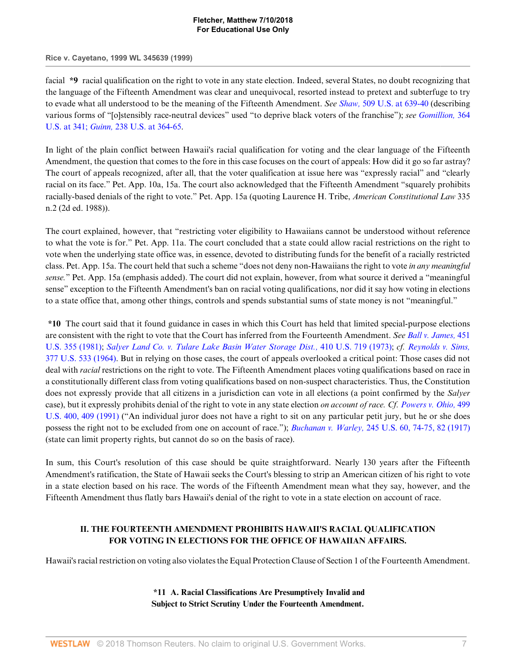#### **Rice v. Cayetano, 1999 WL 345639 (1999)**

facial **\*9** racial qualification on the right to vote in any state election. Indeed, several States, no doubt recognizing that the language of the Fifteenth Amendment was clear and unequivocal, resorted instead to pretext and subterfuge to try to evade what all understood to be the meaning of the Fifteenth Amendment. *See Shaw,* [509 U.S. at 639-40](http://www.westlaw.com/Link/Document/FullText?findType=Y&serNum=1993130653&pubNum=780&originatingDoc=I52e8e4b26bef11d8afd1fdfc79654ecb&refType=RP&fi=co_pp_sp_780_639&originationContext=document&vr=3.0&rs=cblt1.0&transitionType=DocumentItem&contextData=(sc.Default)#co_pp_sp_780_639) (describing various forms of "[o]stensibly race-neutral devices" used "to deprive black voters of the franchise"); *see [Gomillion,](http://www.westlaw.com/Link/Document/FullText?findType=Y&serNum=1960122585&pubNum=780&originatingDoc=I52e8e4b26bef11d8afd1fdfc79654ecb&refType=RP&fi=co_pp_sp_780_341&originationContext=document&vr=3.0&rs=cblt1.0&transitionType=DocumentItem&contextData=(sc.Default)#co_pp_sp_780_341)* 364 [U.S. at 341;](http://www.westlaw.com/Link/Document/FullText?findType=Y&serNum=1960122585&pubNum=780&originatingDoc=I52e8e4b26bef11d8afd1fdfc79654ecb&refType=RP&fi=co_pp_sp_780_341&originationContext=document&vr=3.0&rs=cblt1.0&transitionType=DocumentItem&contextData=(sc.Default)#co_pp_sp_780_341) *Guinn,* [238 U.S. at 364-65](http://www.westlaw.com/Link/Document/FullText?findType=Y&serNum=1915100071&pubNum=780&originatingDoc=I52e8e4b26bef11d8afd1fdfc79654ecb&refType=RP&fi=co_pp_sp_780_364&originationContext=document&vr=3.0&rs=cblt1.0&transitionType=DocumentItem&contextData=(sc.Default)#co_pp_sp_780_364).

In light of the plain conflict between Hawaii's racial qualification for voting and the clear language of the Fifteenth Amendment, the question that comes to the fore in this case focuses on the court of appeals: How did it go so far astray? The court of appeals recognized, after all, that the voter qualification at issue here was "expressly racial" and "clearly racial on its face." Pet. App. 10a, 15a. The court also acknowledged that the Fifteenth Amendment "squarely prohibits racially-based denials of the right to vote." Pet. App. 15a (quoting Laurence H. Tribe, *American Constitutional Law* 335 n.2 (2d ed. 1988)).

The court explained, however, that "restricting voter eligibility to Hawaiians cannot be understood without reference to what the vote is for." Pet. App. 11a. The court concluded that a state could allow racial restrictions on the right to vote when the underlying state office was, in essence, devoted to distributing funds for the benefit of a racially restricted class. Pet. App. 15a. The court held that such a scheme "does not deny non-Hawaiians the right to vote *in any meaningful sense.*" Pet. App. 15a (emphasis added). The court did not explain, however, from what source it derived a "meaningful sense" exception to the Fifteenth Amendment's ban on racial voting qualifications, nor did it say how voting in elections to a state office that, among other things, controls and spends substantial sums of state money is not "meaningful."

**\*10** The court said that it found guidance in cases in which this Court has held that limited special-purpose elections are consistent with the right to vote that the Court has inferred from the Fourteenth Amendment. *See [Ball v. James,](http://www.westlaw.com/Link/Document/FullText?findType=Y&serNum=1981118824&pubNum=780&originatingDoc=I52e8e4b26bef11d8afd1fdfc79654ecb&refType=RP&originationContext=document&vr=3.0&rs=cblt1.0&transitionType=DocumentItem&contextData=(sc.Default))* 451 [U.S. 355 \(1981\);](http://www.westlaw.com/Link/Document/FullText?findType=Y&serNum=1981118824&pubNum=780&originatingDoc=I52e8e4b26bef11d8afd1fdfc79654ecb&refType=RP&originationContext=document&vr=3.0&rs=cblt1.0&transitionType=DocumentItem&contextData=(sc.Default)) *[Salyer Land Co. v. Tulare Lake Basin Water Storage Dist.,](http://www.westlaw.com/Link/Document/FullText?findType=Y&serNum=1973126356&pubNum=780&originatingDoc=I52e8e4b26bef11d8afd1fdfc79654ecb&refType=RP&originationContext=document&vr=3.0&rs=cblt1.0&transitionType=DocumentItem&contextData=(sc.Default))* 410 U.S. 719 (1973); *cf. [Reynolds v. Sims,](http://www.westlaw.com/Link/Document/FullText?findType=Y&serNum=1964124843&pubNum=780&originatingDoc=I52e8e4b26bef11d8afd1fdfc79654ecb&refType=RP&originationContext=document&vr=3.0&rs=cblt1.0&transitionType=DocumentItem&contextData=(sc.Default))* [377 U.S. 533 \(1964\).](http://www.westlaw.com/Link/Document/FullText?findType=Y&serNum=1964124843&pubNum=780&originatingDoc=I52e8e4b26bef11d8afd1fdfc79654ecb&refType=RP&originationContext=document&vr=3.0&rs=cblt1.0&transitionType=DocumentItem&contextData=(sc.Default)) But in relying on those cases, the court of appeals overlooked a critical point: Those cases did not deal with *racial* restrictions on the right to vote. The Fifteenth Amendment places voting qualifications based on race in a constitutionally different class from voting qualifications based on non-suspect characteristics. Thus, the Constitution does not expressly provide that all citizens in a jurisdiction can vote in all elections (a point confirmed by the *Salyer* case), but it expressly prohibits denial of the right to vote in any state election *on account of race. Cf. [Powers v. Ohio,](http://www.westlaw.com/Link/Document/FullText?findType=Y&serNum=1991062987&pubNum=780&originatingDoc=I52e8e4b26bef11d8afd1fdfc79654ecb&refType=RP&fi=co_pp_sp_780_409&originationContext=document&vr=3.0&rs=cblt1.0&transitionType=DocumentItem&contextData=(sc.Default)#co_pp_sp_780_409)* 499 [U.S. 400, 409 \(1991\)](http://www.westlaw.com/Link/Document/FullText?findType=Y&serNum=1991062987&pubNum=780&originatingDoc=I52e8e4b26bef11d8afd1fdfc79654ecb&refType=RP&fi=co_pp_sp_780_409&originationContext=document&vr=3.0&rs=cblt1.0&transitionType=DocumentItem&contextData=(sc.Default)#co_pp_sp_780_409) ("An individual juror does not have a right to sit on any particular petit jury, but he or she does possess the right not to be excluded from one on account of race."); *Buchanan v. Warley,* [245 U.S. 60, 74-75, 82 \(1917\)](http://www.westlaw.com/Link/Document/FullText?findType=Y&serNum=1917100530&pubNum=780&originatingDoc=I52e8e4b26bef11d8afd1fdfc79654ecb&refType=RP&fi=co_pp_sp_780_74&originationContext=document&vr=3.0&rs=cblt1.0&transitionType=DocumentItem&contextData=(sc.Default)#co_pp_sp_780_74) (state can limit property rights, but cannot do so on the basis of race).

In sum, this Court's resolution of this case should be quite straightforward. Nearly 130 years after the Fifteenth Amendment's ratification, the State of Hawaii seeks the Court's blessing to strip an American citizen of his right to vote in a state election based on his race. The words of the Fifteenth Amendment mean what they say, however, and the Fifteenth Amendment thus flatly bars Hawaii's denial of the right to vote in a state election on account of race.

## **II. THE FOURTEENTH AMENDMENT PROHIBITS HAWAII'S RACIAL QUALIFICATION FOR VOTING IN ELECTIONS FOR THE OFFICE OF HAWAIIAN AFFAIRS.**

Hawaii's racial restriction on voting also violates the Equal Protection Clause of Section 1 of the Fourteenth Amendment.

**\*11 A. Racial Classifications Are Presumptively Invalid and Subject to Strict Scrutiny Under the Fourteenth Amendment.**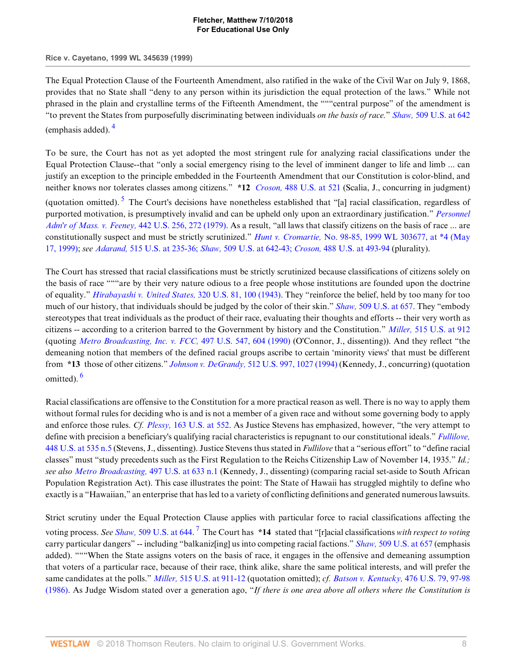**Rice v. Cayetano, 1999 WL 345639 (1999)**

The Equal Protection Clause of the Fourteenth Amendment, also ratified in the wake of the Civil War on July 9, 1868, provides that no State shall "deny to any person within its jurisdiction the equal protection of the laws." While not phrased in the plain and crystalline terms of the Fifteenth Amendment, the """central purpose" of the amendment is "to prevent the States from purposefully discriminating between individuals *on the basis of race.*" *Shaw,* [509 U.S. at 642](http://www.westlaw.com/Link/Document/FullText?findType=Y&serNum=1993130653&pubNum=780&originatingDoc=I52e8e4b26bef11d8afd1fdfc79654ecb&refType=RP&fi=co_pp_sp_780_642&originationContext=document&vr=3.0&rs=cblt1.0&transitionType=DocumentItem&contextData=(sc.Default)#co_pp_sp_780_642) (emphasis added). [4](#page-15-3)

<span id="page-7-1"></span><span id="page-7-0"></span>To be sure, the Court has not as yet adopted the most stringent rule for analyzing racial classifications under the Equal Protection Clause--that "only a social emergency rising to the level of imminent danger to life and limb ... can justify an exception to the principle embedded in the Fourteenth Amendment that our Constitution is color-blind, and neither knows nor tolerates classes among citizens." **\*12** *Croson,* [488 U.S. at 521](http://www.westlaw.com/Link/Document/FullText?findType=Y&serNum=1989012998&pubNum=780&originatingDoc=I52e8e4b26bef11d8afd1fdfc79654ecb&refType=RP&fi=co_pp_sp_780_521&originationContext=document&vr=3.0&rs=cblt1.0&transitionType=DocumentItem&contextData=(sc.Default)#co_pp_sp_780_521) (Scalia, J., concurring in judgment) (quotation omitted). <sup>[5](#page-15-4)</sup> The Court's decisions have nonetheless established that "[a] racial classification, regardless of purported motivation, is presumptively invalid and can be upheld only upon an extraordinary justification." *[Personnel](http://www.westlaw.com/Link/Document/FullText?findType=Y&serNum=1979135134&pubNum=780&originatingDoc=I52e8e4b26bef11d8afd1fdfc79654ecb&refType=RP&fi=co_pp_sp_780_272&originationContext=document&vr=3.0&rs=cblt1.0&transitionType=DocumentItem&contextData=(sc.Default)#co_pp_sp_780_272) [Adm'r of Mass. v. Feeney,](http://www.westlaw.com/Link/Document/FullText?findType=Y&serNum=1979135134&pubNum=780&originatingDoc=I52e8e4b26bef11d8afd1fdfc79654ecb&refType=RP&fi=co_pp_sp_780_272&originationContext=document&vr=3.0&rs=cblt1.0&transitionType=DocumentItem&contextData=(sc.Default)#co_pp_sp_780_272)* 442 U.S. 256, 272 (1979). As a result, "all laws that classify citizens on the basis of race ... are constitutionally suspect and must be strictly scrutinized." *Hunt v. Cromartie,* [No. 98-85, 1999 WL 303677, at \\*4 \(May](http://www.westlaw.com/Link/Document/FullText?findType=Y&serNum=1999122479&pubNum=999&originatingDoc=I52e8e4b26bef11d8afd1fdfc79654ecb&refType=RP&originationContext=document&vr=3.0&rs=cblt1.0&transitionType=DocumentItem&contextData=(sc.Default)) [17, 1999\);](http://www.westlaw.com/Link/Document/FullText?findType=Y&serNum=1999122479&pubNum=999&originatingDoc=I52e8e4b26bef11d8afd1fdfc79654ecb&refType=RP&originationContext=document&vr=3.0&rs=cblt1.0&transitionType=DocumentItem&contextData=(sc.Default)) *see Adarand,* [515 U.S. at 235-36;](http://www.westlaw.com/Link/Document/FullText?findType=Y&serNum=1995125532&pubNum=780&originatingDoc=I52e8e4b26bef11d8afd1fdfc79654ecb&refType=RP&fi=co_pp_sp_780_235&originationContext=document&vr=3.0&rs=cblt1.0&transitionType=DocumentItem&contextData=(sc.Default)#co_pp_sp_780_235) *Shaw,* [509 U.S. at 642-43;](http://www.westlaw.com/Link/Document/FullText?findType=Y&serNum=1993130653&pubNum=780&originatingDoc=I52e8e4b26bef11d8afd1fdfc79654ecb&refType=RP&fi=co_pp_sp_780_642&originationContext=document&vr=3.0&rs=cblt1.0&transitionType=DocumentItem&contextData=(sc.Default)#co_pp_sp_780_642) *Croson,* [488 U.S. at 493-94](http://www.westlaw.com/Link/Document/FullText?findType=Y&serNum=1989012998&pubNum=780&originatingDoc=I52e8e4b26bef11d8afd1fdfc79654ecb&refType=RP&fi=co_pp_sp_780_493&originationContext=document&vr=3.0&rs=cblt1.0&transitionType=DocumentItem&contextData=(sc.Default)#co_pp_sp_780_493) (plurality).

The Court has stressed that racial classifications must be strictly scrutinized because classifications of citizens solely on the basis of race """are by their very nature odious to a free people whose institutions are founded upon the doctrine of equality." *[Hirabayashi v. United States,](http://www.westlaw.com/Link/Document/FullText?findType=Y&serNum=1943117918&pubNum=780&originatingDoc=I52e8e4b26bef11d8afd1fdfc79654ecb&refType=RP&fi=co_pp_sp_780_100&originationContext=document&vr=3.0&rs=cblt1.0&transitionType=DocumentItem&contextData=(sc.Default)#co_pp_sp_780_100)* 320 U.S. 81, 100 (1943). They "reinforce the belief, held by too many for too much of our history, that individuals should be judged by the color of their skin." *Shaw,* [509 U.S. at 657](http://www.westlaw.com/Link/Document/FullText?findType=Y&serNum=1993130653&pubNum=780&originatingDoc=I52e8e4b26bef11d8afd1fdfc79654ecb&refType=RP&fi=co_pp_sp_780_657&originationContext=document&vr=3.0&rs=cblt1.0&transitionType=DocumentItem&contextData=(sc.Default)#co_pp_sp_780_657). They "embody stereotypes that treat individuals as the product of their race, evaluating their thoughts and efforts -- their very worth as citizens -- according to a criterion barred to the Government by history and the Constitution." *Miller,* [515 U.S. at 912](http://www.westlaw.com/Link/Document/FullText?findType=Y&serNum=1995137594&pubNum=780&originatingDoc=I52e8e4b26bef11d8afd1fdfc79654ecb&refType=RP&fi=co_pp_sp_780_912&originationContext=document&vr=3.0&rs=cblt1.0&transitionType=DocumentItem&contextData=(sc.Default)#co_pp_sp_780_912) (quoting *[Metro Broadcasting, Inc. v. FCC,](http://www.westlaw.com/Link/Document/FullText?findType=Y&serNum=1990098027&pubNum=780&originatingDoc=I52e8e4b26bef11d8afd1fdfc79654ecb&refType=RP&fi=co_pp_sp_780_604&originationContext=document&vr=3.0&rs=cblt1.0&transitionType=DocumentItem&contextData=(sc.Default)#co_pp_sp_780_604)* 497 U.S. 547, 604 (1990) (O'Connor, J., dissenting)). And they reflect "the demeaning notion that members of the defined racial groups ascribe to certain 'minority views' that must be different from **\*13** those of other citizens." *Johnson v. DeGrandy,* [512 U.S. 997, 1027 \(1994\)](http://www.westlaw.com/Link/Document/FullText?findType=Y&serNum=1994139814&pubNum=780&originatingDoc=I52e8e4b26bef11d8afd1fdfc79654ecb&refType=RP&fi=co_pp_sp_780_1027&originationContext=document&vr=3.0&rs=cblt1.0&transitionType=DocumentItem&contextData=(sc.Default)#co_pp_sp_780_1027) (Kennedy, J., concurring) (quotation omitted).<sup>[6](#page-15-5)</sup>

<span id="page-7-2"></span>Racial classifications are offensive to the Constitution for a more practical reason as well. There is no way to apply them without formal rules for deciding who is and is not a member of a given race and without some governing body to apply and enforce those rules. *Cf. Plessy,* [163 U.S. at 552.](http://www.westlaw.com/Link/Document/FullText?findType=Y&serNum=1896180043&pubNum=780&originatingDoc=I52e8e4b26bef11d8afd1fdfc79654ecb&refType=RP&fi=co_pp_sp_780_552&originationContext=document&vr=3.0&rs=cblt1.0&transitionType=DocumentItem&contextData=(sc.Default)#co_pp_sp_780_552) As Justice Stevens has emphasized, however, "the very attempt to define with precision a beneficiary's qualifying racial characteristics is repugnant to our constitutional ideals." *[Fullilove,](http://www.westlaw.com/Link/Document/FullText?findType=Y&serNum=1980116812&pubNum=780&originatingDoc=I52e8e4b26bef11d8afd1fdfc79654ecb&refType=RP&fi=co_pp_sp_780_535&originationContext=document&vr=3.0&rs=cblt1.0&transitionType=DocumentItem&contextData=(sc.Default)#co_pp_sp_780_535)* [448 U.S. at 535 n.5](http://www.westlaw.com/Link/Document/FullText?findType=Y&serNum=1980116812&pubNum=780&originatingDoc=I52e8e4b26bef11d8afd1fdfc79654ecb&refType=RP&fi=co_pp_sp_780_535&originationContext=document&vr=3.0&rs=cblt1.0&transitionType=DocumentItem&contextData=(sc.Default)#co_pp_sp_780_535) (Stevens, J., dissenting). Justice Stevens thus stated in *Fullilove* that a "serious effort" to "define racial classes" must "study precedents such as the First Regulation to the Reichs Citizenship Law of November 14, 1935." *Id.; see also [Metro Broadcasting,](http://www.westlaw.com/Link/Document/FullText?findType=Y&serNum=1990098027&pubNum=780&originatingDoc=I52e8e4b26bef11d8afd1fdfc79654ecb&refType=RP&fi=co_pp_sp_780_633&originationContext=document&vr=3.0&rs=cblt1.0&transitionType=DocumentItem&contextData=(sc.Default)#co_pp_sp_780_633)* 497 U.S. at 633 n.1 (Kennedy, J., dissenting) (comparing racial set-aside to South African Population Registration Act). This case illustrates the point: The State of Hawaii has struggled mightily to define who exactly is a "Hawaiian," an enterprise that has led to a variety of conflicting definitions and generated numerous lawsuits.

<span id="page-7-3"></span>Strict scrutiny under the Equal Protection Clause applies with particular force to racial classifications affecting the voting process. *See Shaw,* [509 U.S. at 644](http://www.westlaw.com/Link/Document/FullText?findType=Y&serNum=1993130653&pubNum=780&originatingDoc=I52e8e4b26bef11d8afd1fdfc79654ecb&refType=RP&fi=co_pp_sp_780_644&originationContext=document&vr=3.0&rs=cblt1.0&transitionType=DocumentItem&contextData=(sc.Default)#co_pp_sp_780_644). [7](#page-15-6) The Court has **\*14** stated that "[r]acial classifications *with respect to voting* carry particular dangers" -- including "balkaniz[ing] us into competing racial factions." *Shaw,* [509 U.S. at 657](http://www.westlaw.com/Link/Document/FullText?findType=Y&serNum=1993130653&pubNum=780&originatingDoc=I52e8e4b26bef11d8afd1fdfc79654ecb&refType=RP&fi=co_pp_sp_780_657&originationContext=document&vr=3.0&rs=cblt1.0&transitionType=DocumentItem&contextData=(sc.Default)#co_pp_sp_780_657) (emphasis added). """When the State assigns voters on the basis of race, it engages in the offensive and demeaning assumption that voters of a particular race, because of their race, think alike, share the same political interests, and will prefer the same candidates at the polls." *Miller,* [515 U.S. at 911-12](http://www.westlaw.com/Link/Document/FullText?findType=Y&serNum=1995137594&pubNum=780&originatingDoc=I52e8e4b26bef11d8afd1fdfc79654ecb&refType=RP&fi=co_pp_sp_780_911&originationContext=document&vr=3.0&rs=cblt1.0&transitionType=DocumentItem&contextData=(sc.Default)#co_pp_sp_780_911) (quotation omitted); *cf. [Batson v. Kentucky,](http://www.westlaw.com/Link/Document/FullText?findType=Y&serNum=1986122459&pubNum=780&originatingDoc=I52e8e4b26bef11d8afd1fdfc79654ecb&refType=RP&fi=co_pp_sp_780_97&originationContext=document&vr=3.0&rs=cblt1.0&transitionType=DocumentItem&contextData=(sc.Default)#co_pp_sp_780_97)* 476 U.S. 79, 97-98 [\(1986\).](http://www.westlaw.com/Link/Document/FullText?findType=Y&serNum=1986122459&pubNum=780&originatingDoc=I52e8e4b26bef11d8afd1fdfc79654ecb&refType=RP&fi=co_pp_sp_780_97&originationContext=document&vr=3.0&rs=cblt1.0&transitionType=DocumentItem&contextData=(sc.Default)#co_pp_sp_780_97) As Judge Wisdom stated over a generation ago, "*If there is one area above all others where the Constitution is*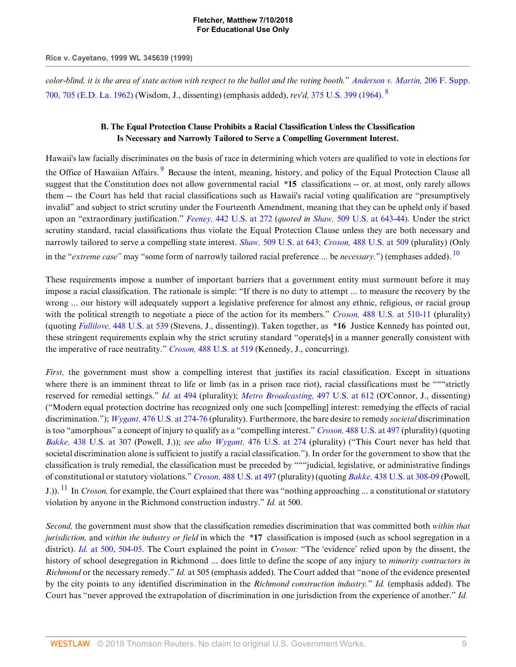*color-blind, it is the area of state action with respect to the ballot and the voting booth.*" *[Anderson v. Martin,](http://www.westlaw.com/Link/Document/FullText?findType=Y&serNum=1962100161&pubNum=345&originatingDoc=I52e8e4b26bef11d8afd1fdfc79654ecb&refType=RP&fi=co_pp_sp_345_705&originationContext=document&vr=3.0&rs=cblt1.0&transitionType=DocumentItem&contextData=(sc.Default)#co_pp_sp_345_705)* 206 F. Supp. [700, 705 \(E.D. La. 1962\)](http://www.westlaw.com/Link/Document/FullText?findType=Y&serNum=1962100161&pubNum=345&originatingDoc=I52e8e4b26bef11d8afd1fdfc79654ecb&refType=RP&fi=co_pp_sp_345_705&originationContext=document&vr=3.0&rs=cblt1.0&transitionType=DocumentItem&contextData=(sc.Default)#co_pp_sp_345_705) (Wisdom, J., dissenting) (emphasis added), *rev'd,* [375 U.S. 399 \(1964\).](http://www.westlaw.com/Link/Document/FullText?findType=Y&serNum=1964124760&pubNum=780&originatingDoc=I52e8e4b26bef11d8afd1fdfc79654ecb&refType=RP&originationContext=document&vr=3.0&rs=cblt1.0&transitionType=DocumentItem&contextData=(sc.Default)) [8](#page-16-0)

# <span id="page-8-2"></span><span id="page-8-1"></span><span id="page-8-0"></span>**B. The Equal Protection Clause Prohibits a Racial Classification Unless the Classification Is Necessary and Narrowly Tailored to Serve a Compelling Government Interest.**

Hawaii's law facially discriminates on the basis of race in determining which voters are qualified to vote in elections for the Office of Hawaiian Affairs.<sup>[9](#page-16-1)</sup> Because the intent, meaning, history, and policy of the Equal Protection Clause all suggest that the Constitution does not allow governmental racial **\*15** classifications -- or, at most, only rarely allows them -- the Court has held that racial classifications such as Hawaii's racial voting qualification are "presumptively invalid" and subject to strict scrutiny under the Fourteenth Amendment, meaning that they can be upheld only if based upon an "extraordinary justification." *Feeney,* [442 U.S. at 272](http://www.westlaw.com/Link/Document/FullText?findType=Y&serNum=1979135134&pubNum=780&originatingDoc=I52e8e4b26bef11d8afd1fdfc79654ecb&refType=RP&fi=co_pp_sp_780_272&originationContext=document&vr=3.0&rs=cblt1.0&transitionType=DocumentItem&contextData=(sc.Default)#co_pp_sp_780_272) (*quoted in Shaw,* [509 U.S. at 643-44\).](http://www.westlaw.com/Link/Document/FullText?findType=Y&serNum=1993130653&pubNum=780&originatingDoc=I52e8e4b26bef11d8afd1fdfc79654ecb&refType=RP&fi=co_pp_sp_780_643&originationContext=document&vr=3.0&rs=cblt1.0&transitionType=DocumentItem&contextData=(sc.Default)#co_pp_sp_780_643) Under the strict scrutiny standard, racial classifications thus violate the Equal Protection Clause unless they are both necessary and narrowly tailored to serve a compelling state interest. *Shaw,* [509 U.S. at 643;](http://www.westlaw.com/Link/Document/FullText?findType=Y&serNum=1993130653&pubNum=780&originatingDoc=I52e8e4b26bef11d8afd1fdfc79654ecb&refType=RP&fi=co_pp_sp_780_643&originationContext=document&vr=3.0&rs=cblt1.0&transitionType=DocumentItem&contextData=(sc.Default)#co_pp_sp_780_643) *Croson,* [488 U.S. at 509](http://www.westlaw.com/Link/Document/FullText?findType=Y&serNum=1989012998&pubNum=780&originatingDoc=I52e8e4b26bef11d8afd1fdfc79654ecb&refType=RP&fi=co_pp_sp_780_509&originationContext=document&vr=3.0&rs=cblt1.0&transitionType=DocumentItem&contextData=(sc.Default)#co_pp_sp_780_509) (plurality) (Only in the "*extreme case"* may "some form of narrowly tailored racial preference ... be *necessary.*") (emphases added). [10](#page-16-2)

These requirements impose a number of important barriers that a government entity must surmount before it may impose a racial classification. The rationale is simple: "If there is no duty to attempt ... to measure the recovery by the wrong ... our history will adequately support a legislative preference for almost any ethnic, religious, or racial group with the political strength to negotiate a piece of the action for its members." *Croson,* [488 U.S. at 510-11](http://www.westlaw.com/Link/Document/FullText?findType=Y&serNum=1989012998&pubNum=780&originatingDoc=I52e8e4b26bef11d8afd1fdfc79654ecb&refType=RP&fi=co_pp_sp_780_510&originationContext=document&vr=3.0&rs=cblt1.0&transitionType=DocumentItem&contextData=(sc.Default)#co_pp_sp_780_510) (plurality) (quoting *Fullilove,* [448 U.S. at 539](http://www.westlaw.com/Link/Document/FullText?findType=Y&serNum=1980116812&pubNum=780&originatingDoc=I52e8e4b26bef11d8afd1fdfc79654ecb&refType=RP&fi=co_pp_sp_780_539&originationContext=document&vr=3.0&rs=cblt1.0&transitionType=DocumentItem&contextData=(sc.Default)#co_pp_sp_780_539) (Stevens, J., dissenting)). Taken together, as **\*16** Justice Kennedy has pointed out, these stringent requirements explain why the strict scrutiny standard "operate[s] in a manner generally consistent with the imperative of race neutrality." *Croson,* [488 U.S. at 519](http://www.westlaw.com/Link/Document/FullText?findType=Y&serNum=1989012998&pubNum=780&originatingDoc=I52e8e4b26bef11d8afd1fdfc79654ecb&refType=RP&fi=co_pp_sp_780_519&originationContext=document&vr=3.0&rs=cblt1.0&transitionType=DocumentItem&contextData=(sc.Default)#co_pp_sp_780_519) (Kennedy, J., concurring).

*First*, the government must show a compelling interest that justifies its racial classification. Except in situations where there is an imminent threat to life or limb (as in a prison race riot), racial classifications must be ""strictly reserved for remedial settings." *Id.* [at 494](http://www.westlaw.com/Link/Document/FullText?findType=Y&serNum=1989012998&originatingDoc=I52e8e4b26bef11d8afd1fdfc79654ecb&refType=RP&originationContext=document&vr=3.0&rs=cblt1.0&transitionType=DocumentItem&contextData=(sc.Default)) (plurality); *[Metro Broadcasting,](http://www.westlaw.com/Link/Document/FullText?findType=Y&serNum=1990098027&pubNum=780&originatingDoc=I52e8e4b26bef11d8afd1fdfc79654ecb&refType=RP&fi=co_pp_sp_780_612&originationContext=document&vr=3.0&rs=cblt1.0&transitionType=DocumentItem&contextData=(sc.Default)#co_pp_sp_780_612)* 497 U.S. at 612 (O'Connor, J., dissenting) ("Modern equal protection doctrine has recognized only one such [compelling] interest: remedying the effects of racial discrimination."); *Wygant,* [476 U.S. at 274-76](http://www.westlaw.com/Link/Document/FullText?findType=Y&serNum=1986126001&pubNum=780&originatingDoc=I52e8e4b26bef11d8afd1fdfc79654ecb&refType=RP&fi=co_pp_sp_780_274&originationContext=document&vr=3.0&rs=cblt1.0&transitionType=DocumentItem&contextData=(sc.Default)#co_pp_sp_780_274) (plurality). Furthermore, the bare desire to remedy *societal* discrimination is too "amorphous" a concept of injury to qualify as a "compelling interest." *Croson,* [488 U.S. at 497](http://www.westlaw.com/Link/Document/FullText?findType=Y&serNum=1989012998&pubNum=780&originatingDoc=I52e8e4b26bef11d8afd1fdfc79654ecb&refType=RP&fi=co_pp_sp_780_497&originationContext=document&vr=3.0&rs=cblt1.0&transitionType=DocumentItem&contextData=(sc.Default)#co_pp_sp_780_497) (plurality) (quoting *Bakke,* [438 U.S. at 307](http://www.westlaw.com/Link/Document/FullText?findType=Y&serNum=1978139508&pubNum=780&originatingDoc=I52e8e4b26bef11d8afd1fdfc79654ecb&refType=RP&fi=co_pp_sp_780_307&originationContext=document&vr=3.0&rs=cblt1.0&transitionType=DocumentItem&contextData=(sc.Default)#co_pp_sp_780_307) (Powell, J.)); *see also Wygant,* [476 U.S. at 274](http://www.westlaw.com/Link/Document/FullText?findType=Y&serNum=1986126001&pubNum=780&originatingDoc=I52e8e4b26bef11d8afd1fdfc79654ecb&refType=RP&fi=co_pp_sp_780_274&originationContext=document&vr=3.0&rs=cblt1.0&transitionType=DocumentItem&contextData=(sc.Default)#co_pp_sp_780_274) (plurality) ("This Court never has held that societal discrimination alone is sufficient to justify a racial classification."). In order for the government to show that the classification is truly remedial, the classification must be preceded by """judicial, legislative, or administrative findings of constitutional or statutory violations." *Croson,* [488 U.S. at 497](http://www.westlaw.com/Link/Document/FullText?findType=Y&serNum=1989012998&pubNum=780&originatingDoc=I52e8e4b26bef11d8afd1fdfc79654ecb&refType=RP&fi=co_pp_sp_780_497&originationContext=document&vr=3.0&rs=cblt1.0&transitionType=DocumentItem&contextData=(sc.Default)#co_pp_sp_780_497) (plurality) (quoting *Bakke,* [438 U.S. at 308-09](http://www.westlaw.com/Link/Document/FullText?findType=Y&serNum=1978139508&pubNum=780&originatingDoc=I52e8e4b26bef11d8afd1fdfc79654ecb&refType=RP&fi=co_pp_sp_780_308&originationContext=document&vr=3.0&rs=cblt1.0&transitionType=DocumentItem&contextData=(sc.Default)#co_pp_sp_780_308) (Powell, J.)). [11](#page-16-3) In *Croson,* for example, the Court explained that there was "nothing approaching ... a constitutional or statutory violation by anyone in the Richmond construction industry." *Id.* at 500.

<span id="page-8-3"></span>*Second,* the government must show that the classification remedies discrimination that was committed both *within that jurisdiction,* and *within the industry or field* in which the **\*17** classification is imposed (such as school segregation in a district). *Id.* [at 500, 504-05.](http://www.westlaw.com/Link/Document/FullText?findType=Y&serNum=1989012998&originatingDoc=I52e8e4b26bef11d8afd1fdfc79654ecb&refType=RP&originationContext=document&vr=3.0&rs=cblt1.0&transitionType=DocumentItem&contextData=(sc.Default)) The Court explained the point in *Croson:* "The 'evidence' relied upon by the dissent, the history of school desegregation in Richmond ... does little to define the scope of any injury to *minority contractors in Richmond* or the necessary remedy." *Id.* at 505 (emphasis added). The Court added that "none of the evidence presented by the city points to any identified discrimination in the *Richmond construction industry.*" *Id.* (emphasis added). The Court has "never approved the extrapolation of discrimination in one jurisdiction from the experience of another." *Id.*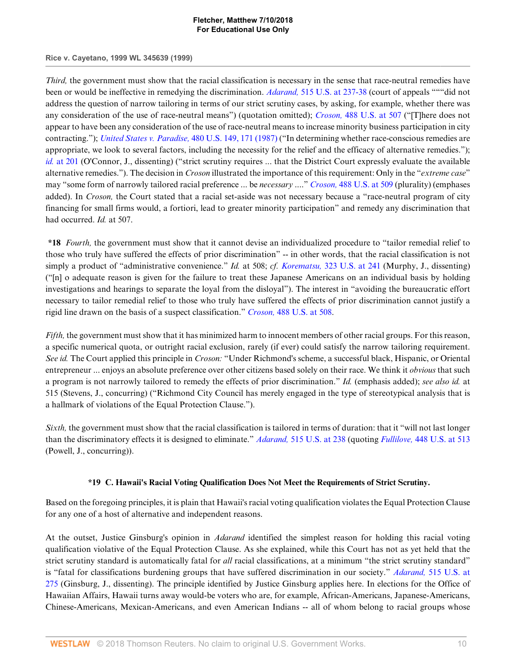#### **Rice v. Cayetano, 1999 WL 345639 (1999)**

*Third*, the government must show that the racial classification is necessary in the sense that race-neutral remedies have been or would be ineffective in remedying the discrimination. *Adarand,* [515 U.S. at 237-38](http://www.westlaw.com/Link/Document/FullText?findType=Y&serNum=1995125532&pubNum=780&originatingDoc=I52e8e4b26bef11d8afd1fdfc79654ecb&refType=RP&fi=co_pp_sp_780_237&originationContext=document&vr=3.0&rs=cblt1.0&transitionType=DocumentItem&contextData=(sc.Default)#co_pp_sp_780_237) (court of appeals """did not address the question of narrow tailoring in terms of our strict scrutiny cases, by asking, for example, whether there was any consideration of the use of race-neutral means") (quotation omitted); *Croson,* [488 U.S. at 507](http://www.westlaw.com/Link/Document/FullText?findType=Y&serNum=1989012998&pubNum=780&originatingDoc=I52e8e4b26bef11d8afd1fdfc79654ecb&refType=RP&fi=co_pp_sp_780_507&originationContext=document&vr=3.0&rs=cblt1.0&transitionType=DocumentItem&contextData=(sc.Default)#co_pp_sp_780_507) ("[T]here does not appear to have been any consideration of the use of race-neutral means to increase minority business participation in city contracting."); *[United States v. Paradise,](http://www.westlaw.com/Link/Document/FullText?findType=Y&serNum=1987024295&pubNum=780&originatingDoc=I52e8e4b26bef11d8afd1fdfc79654ecb&refType=RP&fi=co_pp_sp_780_171&originationContext=document&vr=3.0&rs=cblt1.0&transitionType=DocumentItem&contextData=(sc.Default)#co_pp_sp_780_171)* 480 U.S. 149, 171 (1987) ("In determining whether race-conscious remedies are appropriate, we look to several factors, including the necessity for the relief and the efficacy of alternative remedies."); *id.* [at 201](http://www.westlaw.com/Link/Document/FullText?findType=Y&serNum=1987024295&originatingDoc=I52e8e4b26bef11d8afd1fdfc79654ecb&refType=RP&originationContext=document&vr=3.0&rs=cblt1.0&transitionType=DocumentItem&contextData=(sc.Default)) (O'Connor, J., dissenting) ("strict scrutiny requires ... that the District Court expressly evaluate the available alternative remedies."). The decision in *Croson* illustrated the importance of this requirement: Only in the "*extreme case*" may "some form of narrowly tailored racial preference ... be *necessary* ...." *Croson,* [488 U.S. at 509](http://www.westlaw.com/Link/Document/FullText?findType=Y&serNum=1989012998&pubNum=780&originatingDoc=I52e8e4b26bef11d8afd1fdfc79654ecb&refType=RP&fi=co_pp_sp_780_509&originationContext=document&vr=3.0&rs=cblt1.0&transitionType=DocumentItem&contextData=(sc.Default)#co_pp_sp_780_509) (plurality) (emphases added). In *Croson,* the Court stated that a racial set-aside was not necessary because a "race-neutral program of city financing for small firms would, a fortiori, lead to greater minority participation" and remedy any discrimination that had occurred. *Id.* at 507.

**\*18** *Fourth,* the government must show that it cannot devise an individualized procedure to "tailor remedial relief to those who truly have suffered the effects of prior discrimination" -- in other words, that the racial classification is not simply a product of "administrative convenience." *Id.* at 508; *cf. Korematsu,* [323 U.S. at 241](http://www.westlaw.com/Link/Document/FullText?findType=Y&serNum=1944118365&pubNum=780&originatingDoc=I52e8e4b26bef11d8afd1fdfc79654ecb&refType=RP&fi=co_pp_sp_780_241&originationContext=document&vr=3.0&rs=cblt1.0&transitionType=DocumentItem&contextData=(sc.Default)#co_pp_sp_780_241) (Murphy, J., dissenting) ("[n] o adequate reason is given for the failure to treat these Japanese Americans on an individual basis by holding investigations and hearings to separate the loyal from the disloyal"). The interest in "avoiding the bureaucratic effort necessary to tailor remedial relief to those who truly have suffered the effects of prior discrimination cannot justify a rigid line drawn on the basis of a suspect classification." *Croson,* [488 U.S. at 508.](http://www.westlaw.com/Link/Document/FullText?findType=Y&serNum=1989012998&pubNum=780&originatingDoc=I52e8e4b26bef11d8afd1fdfc79654ecb&refType=RP&fi=co_pp_sp_780_508&originationContext=document&vr=3.0&rs=cblt1.0&transitionType=DocumentItem&contextData=(sc.Default)#co_pp_sp_780_508)

*Fifth,* the government must show that it has minimized harm to innocent members of other racial groups. For this reason, a specific numerical quota, or outright racial exclusion, rarely (if ever) could satisfy the narrow tailoring requirement. *See id.* The Court applied this principle in *Croson:* "Under Richmond's scheme, a successful black, Hispanic, or Oriental entrepreneur ... enjoys an absolute preference over other citizens based solely on their race. We think it *obvious* that such a program is not narrowly tailored to remedy the effects of prior discrimination." *Id.* (emphasis added); *see also id.* at 515 (Stevens, J., concurring) ("Richmond City Council has merely engaged in the type of stereotypical analysis that is a hallmark of violations of the Equal Protection Clause.").

*Sixth,* the government must show that the racial classification is tailored in terms of duration: that it "will not last longer than the discriminatory effects it is designed to eliminate." *Adarand,* [515 U.S. at 238](http://www.westlaw.com/Link/Document/FullText?findType=Y&serNum=1995125532&pubNum=780&originatingDoc=I52e8e4b26bef11d8afd1fdfc79654ecb&refType=RP&fi=co_pp_sp_780_238&originationContext=document&vr=3.0&rs=cblt1.0&transitionType=DocumentItem&contextData=(sc.Default)#co_pp_sp_780_238) (quoting *Fullilove,* [448 U.S. at 513](http://www.westlaw.com/Link/Document/FullText?findType=Y&serNum=1980116812&pubNum=780&originatingDoc=I52e8e4b26bef11d8afd1fdfc79654ecb&refType=RP&fi=co_pp_sp_780_513&originationContext=document&vr=3.0&rs=cblt1.0&transitionType=DocumentItem&contextData=(sc.Default)#co_pp_sp_780_513) (Powell, J., concurring)).

### **\*19 C. Hawaii's Racial Voting Qualification Does Not Meet the Requirements of Strict Scrutiny.**

Based on the foregoing principles, it is plain that Hawaii's racial voting qualification violates the Equal Protection Clause for any one of a host of alternative and independent reasons.

At the outset, Justice Ginsburg's opinion in *Adarand* identified the simplest reason for holding this racial voting qualification violative of the Equal Protection Clause. As she explained, while this Court has not as yet held that the strict scrutiny standard is automatically fatal for *all* racial classifications, at a minimum "the strict scrutiny standard" is "fatal for classifications burdening groups that have suffered discrimination in our society." *Adarand,* [515 U.S. at](http://www.westlaw.com/Link/Document/FullText?findType=Y&serNum=1995125532&pubNum=780&originatingDoc=I52e8e4b26bef11d8afd1fdfc79654ecb&refType=RP&fi=co_pp_sp_780_275&originationContext=document&vr=3.0&rs=cblt1.0&transitionType=DocumentItem&contextData=(sc.Default)#co_pp_sp_780_275) [275](http://www.westlaw.com/Link/Document/FullText?findType=Y&serNum=1995125532&pubNum=780&originatingDoc=I52e8e4b26bef11d8afd1fdfc79654ecb&refType=RP&fi=co_pp_sp_780_275&originationContext=document&vr=3.0&rs=cblt1.0&transitionType=DocumentItem&contextData=(sc.Default)#co_pp_sp_780_275) (Ginsburg, J., dissenting). The principle identified by Justice Ginsburg applies here. In elections for the Office of Hawaiian Affairs, Hawaii turns away would-be voters who are, for example, African-Americans, Japanese-Americans, Chinese-Americans, Mexican-Americans, and even American Indians -- all of whom belong to racial groups whose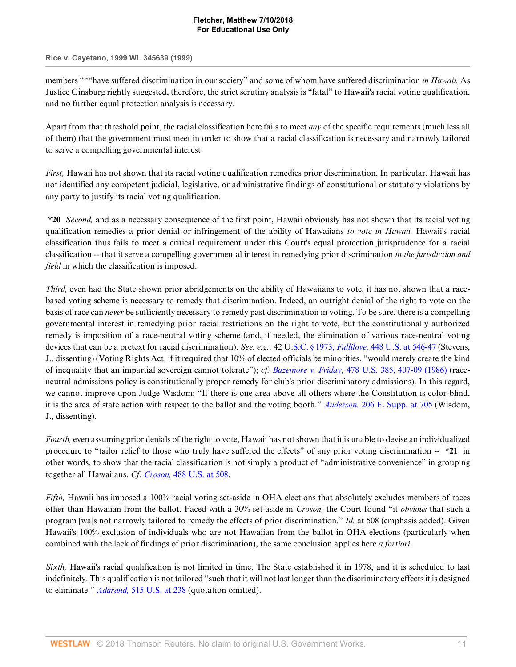#### **Rice v. Cayetano, 1999 WL 345639 (1999)**

members """have suffered discrimination in our society" and some of whom have suffered discrimination *in Hawaii.* As Justice Ginsburg rightly suggested, therefore, the strict scrutiny analysis is "fatal" to Hawaii's racial voting qualification, and no further equal protection analysis is necessary.

Apart from that threshold point, the racial classification here fails to meet *any* of the specific requirements (much less all of them) that the government must meet in order to show that a racial classification is necessary and narrowly tailored to serve a compelling governmental interest.

*First,* Hawaii has not shown that its racial voting qualification remedies prior discrimination. In particular, Hawaii has not identified any competent judicial, legislative, or administrative findings of constitutional or statutory violations by any party to justify its racial voting qualification.

**\*20** *Second,* and as a necessary consequence of the first point, Hawaii obviously has not shown that its racial voting qualification remedies a prior denial or infringement of the ability of Hawaiians *to vote in Hawaii.* Hawaii's racial classification thus fails to meet a critical requirement under this Court's equal protection jurisprudence for a racial classification -- that it serve a compelling governmental interest in remedying prior discrimination *in the jurisdiction and field* in which the classification is imposed.

*Third,* even had the State shown prior abridgements on the ability of Hawaiians to vote, it has not shown that a racebased voting scheme is necessary to remedy that discrimination. Indeed, an outright denial of the right to vote on the basis of race can *never* be sufficiently necessary to remedy past discrimination in voting. To be sure, there is a compelling governmental interest in remedying prior racial restrictions on the right to vote, but the constitutionally authorized remedy is imposition of a race-neutral voting scheme (and, if needed, the elimination of various race-neutral voting devices that can be a pretext for racial discrimination). *See, e.g.,* 42 U.S.C. § 1973; *Fullilove,* [448 U.S. at 546-47](http://www.westlaw.com/Link/Document/FullText?findType=Y&serNum=1980116812&pubNum=780&originatingDoc=I52e8e4b26bef11d8afd1fdfc79654ecb&refType=RP&fi=co_pp_sp_780_546&originationContext=document&vr=3.0&rs=cblt1.0&transitionType=DocumentItem&contextData=(sc.Default)#co_pp_sp_780_546) (Stevens, J., dissenting) (Voting Rights Act, if it required that 10% of elected officials be minorities, "would merely create the kind of inequality that an impartial sovereign cannot tolerate"); *cf. Bazemore v. Friday,* [478 U.S. 385, 407-09 \(1986\)](http://www.westlaw.com/Link/Document/FullText?findType=Y&serNum=1986133830&pubNum=780&originatingDoc=I52e8e4b26bef11d8afd1fdfc79654ecb&refType=RP&fi=co_pp_sp_780_407&originationContext=document&vr=3.0&rs=cblt1.0&transitionType=DocumentItem&contextData=(sc.Default)#co_pp_sp_780_407) (raceneutral admissions policy is constitutionally proper remedy for club's prior discriminatory admissions). In this regard, we cannot improve upon Judge Wisdom: "If there is one area above all others where the Constitution is color-blind, it is the area of state action with respect to the ballot and the voting booth." *Anderson,* [206 F. Supp. at 705](http://www.westlaw.com/Link/Document/FullText?findType=Y&serNum=1962100161&pubNum=345&originatingDoc=I52e8e4b26bef11d8afd1fdfc79654ecb&refType=RP&fi=co_pp_sp_345_705&originationContext=document&vr=3.0&rs=cblt1.0&transitionType=DocumentItem&contextData=(sc.Default)#co_pp_sp_345_705) (Wisdom, J., dissenting).

*Fourth,* even assuming prior denials of the right to vote, Hawaii has not shown that it is unable to devise an individualized procedure to "tailor relief to those who truly have suffered the effects" of any prior voting discrimination -- **\*21** in other words, to show that the racial classification is not simply a product of "administrative convenience" in grouping together all Hawaiians. *Cf. Croson,* [488 U.S. at 508.](http://www.westlaw.com/Link/Document/FullText?findType=Y&serNum=1989012998&pubNum=780&originatingDoc=I52e8e4b26bef11d8afd1fdfc79654ecb&refType=RP&fi=co_pp_sp_780_508&originationContext=document&vr=3.0&rs=cblt1.0&transitionType=DocumentItem&contextData=(sc.Default)#co_pp_sp_780_508)

*Fifth,* Hawaii has imposed a 100% racial voting set-aside in OHA elections that absolutely excludes members of races other than Hawaiian from the ballot. Faced with a 30% set-aside in *Croson,* the Court found "it *obvious* that such a program [wa]s not narrowly tailored to remedy the effects of prior discrimination." *Id.* at 508 (emphasis added). Given Hawaii's 100% exclusion of individuals who are not Hawaiian from the ballot in OHA elections (particularly when combined with the lack of findings of prior discrimination), the same conclusion applies here *a fortiori.*

*Sixth,* Hawaii's racial qualification is not limited in time. The State established it in 1978, and it is scheduled to last indefinitely. This qualification is not tailored "such that it will not last longer than the discriminatory effects it is designed to eliminate." *Adarand,* [515 U.S. at 238](http://www.westlaw.com/Link/Document/FullText?findType=Y&serNum=1995125532&pubNum=780&originatingDoc=I52e8e4b26bef11d8afd1fdfc79654ecb&refType=RP&fi=co_pp_sp_780_238&originationContext=document&vr=3.0&rs=cblt1.0&transitionType=DocumentItem&contextData=(sc.Default)#co_pp_sp_780_238) (quotation omitted).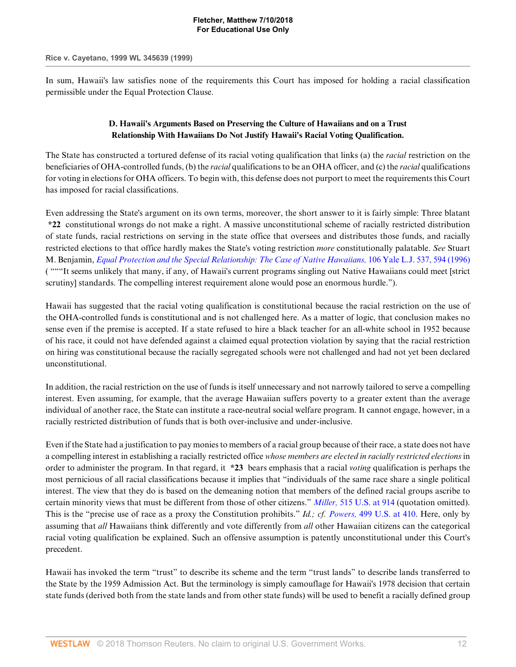In sum, Hawaii's law satisfies none of the requirements this Court has imposed for holding a racial classification permissible under the Equal Protection Clause.

# **D. Hawaii's Arguments Based on Preserving the Culture of Hawaiians and on a Trust Relationship With Hawaiians Do Not Justify Hawaii's Racial Voting Qualification.**

The State has constructed a tortured defense of its racial voting qualification that links (a) the *racial* restriction on the beneficiaries of OHA-controlled funds, (b) the *racial* qualifications to be an OHA officer, and (c) the *racial* qualifications for voting in elections for OHA officers. To begin with, this defense does not purport to meet the requirements this Court has imposed for racial classifications.

Even addressing the State's argument on its own terms, moreover, the short answer to it is fairly simple: Three blatant **\*22** constitutional wrongs do not make a right. A massive unconstitutional scheme of racially restricted distribution of state funds, racial restrictions on serving in the state office that oversees and distributes those funds, and racially restricted elections to that office hardly makes the State's voting restriction *more* constitutionally palatable. *See* Stuart M. Benjamin, *[Equal Protection and the Special Relationship: The Case of Native Hawaiians,](http://www.westlaw.com/Link/Document/FullText?findType=Y&serNum=0107124640&pubNum=1292&originatingDoc=I52e8e4b26bef11d8afd1fdfc79654ecb&refType=LR&fi=co_pp_sp_1292_594&originationContext=document&vr=3.0&rs=cblt1.0&transitionType=DocumentItem&contextData=(sc.Default)#co_pp_sp_1292_594)* 106 Yale L.J. 537, 594 (1996) ( """It seems unlikely that many, if any, of Hawaii's current programs singling out Native Hawaiians could meet [strict scrutiny] standards. The compelling interest requirement alone would pose an enormous hurdle.").

Hawaii has suggested that the racial voting qualification is constitutional because the racial restriction on the use of the OHA-controlled funds is constitutional and is not challenged here. As a matter of logic, that conclusion makes no sense even if the premise is accepted. If a state refused to hire a black teacher for an all-white school in 1952 because of his race, it could not have defended against a claimed equal protection violation by saying that the racial restriction on hiring was constitutional because the racially segregated schools were not challenged and had not yet been declared unconstitutional.

In addition, the racial restriction on the use of funds is itself unnecessary and not narrowly tailored to serve a compelling interest. Even assuming, for example, that the average Hawaiian suffers poverty to a greater extent than the average individual of another race, the State can institute a race-neutral social welfare program. It cannot engage, however, in a racially restricted distribution of funds that is both over-inclusive and under-inclusive.

Even if the State had a justification to pay monies to members of a racial group because of their race, a state does not have a compelling interest in establishing a racially restricted office *whose members are elected in racially restricted elections* in order to administer the program. In that regard, it **\*23** bears emphasis that a racial *voting* qualification is perhaps the most pernicious of all racial classifications because it implies that "individuals of the same race share a single political interest. The view that they do is based on the demeaning notion that members of the defined racial groups ascribe to certain minority views that must be different from those of other citizens." *Miller,* [515 U.S. at 914](http://www.westlaw.com/Link/Document/FullText?findType=Y&serNum=1995137594&pubNum=780&originatingDoc=I52e8e4b26bef11d8afd1fdfc79654ecb&refType=RP&fi=co_pp_sp_780_914&originationContext=document&vr=3.0&rs=cblt1.0&transitionType=DocumentItem&contextData=(sc.Default)#co_pp_sp_780_914) (quotation omitted). This is the "precise use of race as a proxy the Constitution prohibits." *Id.; cf. Powers,* [499 U.S. at 410](http://www.westlaw.com/Link/Document/FullText?findType=Y&serNum=1991062987&pubNum=780&originatingDoc=I52e8e4b26bef11d8afd1fdfc79654ecb&refType=RP&fi=co_pp_sp_780_410&originationContext=document&vr=3.0&rs=cblt1.0&transitionType=DocumentItem&contextData=(sc.Default)#co_pp_sp_780_410). Here, only by assuming that *all* Hawaiians think differently and vote differently from *all* other Hawaiian citizens can the categorical racial voting qualification be explained. Such an offensive assumption is patently unconstitutional under this Court's precedent.

Hawaii has invoked the term "trust" to describe its scheme and the term "trust lands" to describe lands transferred to the State by the 1959 Admission Act. But the terminology is simply camouflage for Hawaii's 1978 decision that certain state funds (derived both from the state lands and from other state funds) will be used to benefit a racially defined group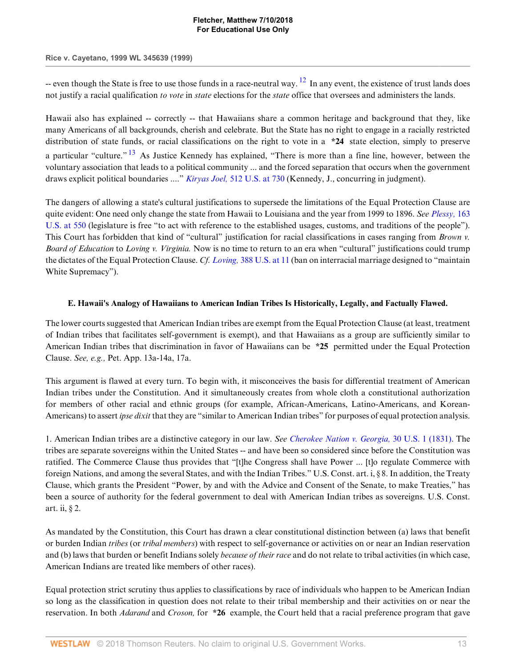**Rice v. Cayetano, 1999 WL 345639 (1999)**

<span id="page-12-0"></span>-- even though the State is free to use those funds in a race-neutral way.  $^{12}$  $^{12}$  $^{12}$  In any event, the existence of trust lands does not justify a racial qualification *to vote* in *state* elections for the *state* office that oversees and administers the lands.

<span id="page-12-1"></span>Hawaii also has explained -- correctly -- that Hawaiians share a common heritage and background that they, like many Americans of all backgrounds, cherish and celebrate. But the State has no right to engage in a racially restricted distribution of state funds, or racial classifications on the right to vote in a **\*24** state election, simply to preserve a particular "culture." [13](#page-16-5) As Justice Kennedy has explained, "There is more than a fine line, however, between the voluntary association that leads to a political community ... and the forced separation that occurs when the government draws explicit political boundaries ...." *Kiryas Joel,* [512 U.S. at 730](http://www.westlaw.com/Link/Document/FullText?findType=Y&serNum=1994136430&pubNum=780&originatingDoc=I52e8e4b26bef11d8afd1fdfc79654ecb&refType=RP&fi=co_pp_sp_780_730&originationContext=document&vr=3.0&rs=cblt1.0&transitionType=DocumentItem&contextData=(sc.Default)#co_pp_sp_780_730) (Kennedy, J., concurring in judgment).

The dangers of allowing a state's cultural justifications to supersede the limitations of the Equal Protection Clause are quite evident: One need only change the state from Hawaii to Louisiana and the year from 1999 to 1896. *See [Plessy,](http://www.westlaw.com/Link/Document/FullText?findType=Y&serNum=1896180043&pubNum=780&originatingDoc=I52e8e4b26bef11d8afd1fdfc79654ecb&refType=RP&fi=co_pp_sp_780_550&originationContext=document&vr=3.0&rs=cblt1.0&transitionType=DocumentItem&contextData=(sc.Default)#co_pp_sp_780_550)* 163 [U.S. at 550](http://www.westlaw.com/Link/Document/FullText?findType=Y&serNum=1896180043&pubNum=780&originatingDoc=I52e8e4b26bef11d8afd1fdfc79654ecb&refType=RP&fi=co_pp_sp_780_550&originationContext=document&vr=3.0&rs=cblt1.0&transitionType=DocumentItem&contextData=(sc.Default)#co_pp_sp_780_550) (legislature is free "to act with reference to the established usages, customs, and traditions of the people"). This Court has forbidden that kind of "cultural" justification for racial classifications in cases ranging from *Brown v. Board of Education* to *Loving v. Virginia.* Now is no time to return to an era when "cultural" justifications could trump the dictates of the Equal Protection Clause. *Cf. Loving,* [388 U.S. at 11](http://www.westlaw.com/Link/Document/FullText?findType=Y&serNum=1967129542&pubNum=780&originatingDoc=I52e8e4b26bef11d8afd1fdfc79654ecb&refType=RP&fi=co_pp_sp_780_11&originationContext=document&vr=3.0&rs=cblt1.0&transitionType=DocumentItem&contextData=(sc.Default)#co_pp_sp_780_11) (ban on interracial marriage designed to "maintain White Supremacy").

# **E. Hawaii's Analogy of Hawaiians to American Indian Tribes Is Historically, Legally, and Factually Flawed.**

The lower courts suggested that American Indian tribes are exempt from the Equal Protection Clause (at least, treatment of Indian tribes that facilitates self-government is exempt), and that Hawaiians as a group are sufficiently similar to American Indian tribes that discrimination in favor of Hawaiians can be **\*25** permitted under the Equal Protection Clause. *See, e.g.,* Pet. App. 13a-14a, 17a.

This argument is flawed at every turn. To begin with, it misconceives the basis for differential treatment of American Indian tribes under the Constitution. And it simultaneously creates from whole cloth a constitutional authorization for members of other racial and ethnic groups (for example, African-Americans, Latino-Americans, and Korean-Americans) to assert *ipse dixit* that they are "similar to American Indian tribes" for purposes of equal protection analysis.

1. American Indian tribes are a distinctive category in our law. *See [Cherokee Nation v. Georgia,](http://www.westlaw.com/Link/Document/FullText?findType=Y&serNum=1831192543&pubNum=780&originatingDoc=I52e8e4b26bef11d8afd1fdfc79654ecb&refType=RP&originationContext=document&vr=3.0&rs=cblt1.0&transitionType=DocumentItem&contextData=(sc.Default))* 30 U.S. 1 (1831). The tribes are separate sovereigns within the United States -- and have been so considered since before the Constitution was ratified. The Commerce Clause thus provides that "[t]he Congress shall have Power ... [t]o regulate Commerce with foreign Nations, and among the several States, and with the Indian Tribes." U.S. Const. art. i, § 8. In addition, the Treaty Clause, which grants the President "Power, by and with the Advice and Consent of the Senate, to make Treaties," has been a source of authority for the federal government to deal with American Indian tribes as sovereigns. U.S. Const. art. ii, § 2.

As mandated by the Constitution, this Court has drawn a clear constitutional distinction between (a) laws that benefit or burden Indian *tribes* (or *tribal members*) with respect to self-governance or activities on or near an Indian reservation and (b) laws that burden or benefit Indians solely *because of their race* and do not relate to tribal activities (in which case, American Indians are treated like members of other races).

Equal protection strict scrutiny thus applies to classifications by race of individuals who happen to be American Indian so long as the classification in question does not relate to their tribal membership and their activities on or near the reservation. In both *Adarand* and *Croson,* for **\*26** example, the Court held that a racial preference program that gave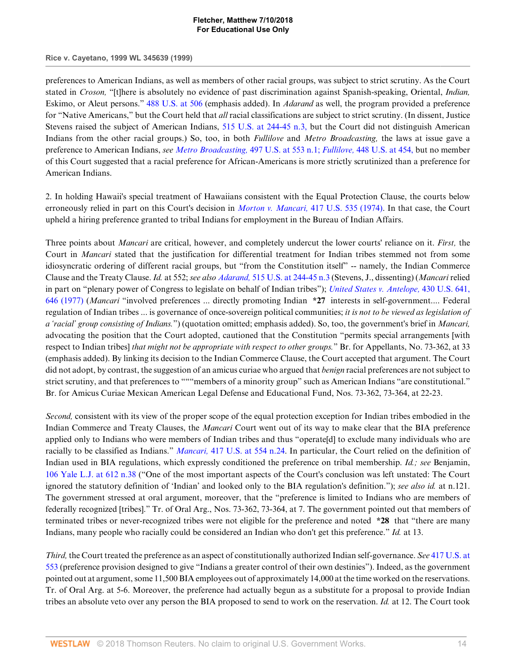**Rice v. Cayetano, 1999 WL 345639 (1999)**

preferences to American Indians, as well as members of other racial groups, was subject to strict scrutiny. As the Court stated in *Croson,* "[t]here is absolutely no evidence of past discrimination against Spanish-speaking, Oriental, *Indian,* Eskimo, or Aleut persons." [488 U.S. at 506](http://www.westlaw.com/Link/Document/FullText?findType=Y&serNum=1989012998&pubNum=780&originatingDoc=I52e8e4b26bef11d8afd1fdfc79654ecb&refType=RP&fi=co_pp_sp_780_506&originationContext=document&vr=3.0&rs=cblt1.0&transitionType=DocumentItem&contextData=(sc.Default)#co_pp_sp_780_506) (emphasis added). In *Adarand* as well, the program provided a preference for "Native Americans," but the Court held that *all* racial classifications are subject to strict scrutiny. (In dissent, Justice Stevens raised the subject of American Indians, [515 U.S. at 244-45 n.3,](http://www.westlaw.com/Link/Document/FullText?findType=Y&serNum=1995125532&pubNum=780&originatingDoc=I52e8e4b26bef11d8afd1fdfc79654ecb&refType=RP&fi=co_pp_sp_780_244&originationContext=document&vr=3.0&rs=cblt1.0&transitionType=DocumentItem&contextData=(sc.Default)#co_pp_sp_780_244) but the Court did not distinguish American Indians from the other racial groups.) So, too, in both *Fullilove* and *Metro Broadcasting,* the laws at issue gave a preference to American Indians, *see [Metro Broadcasting,](http://www.westlaw.com/Link/Document/FullText?findType=Y&serNum=1990098027&pubNum=780&originatingDoc=I52e8e4b26bef11d8afd1fdfc79654ecb&refType=RP&fi=co_pp_sp_780_553&originationContext=document&vr=3.0&rs=cblt1.0&transitionType=DocumentItem&contextData=(sc.Default)#co_pp_sp_780_553)* 497 U.S. at 553 n.1; *Fullilove,* [448 U.S. at 454,](http://www.westlaw.com/Link/Document/FullText?findType=Y&serNum=1980116812&pubNum=780&originatingDoc=I52e8e4b26bef11d8afd1fdfc79654ecb&refType=RP&fi=co_pp_sp_780_454&originationContext=document&vr=3.0&rs=cblt1.0&transitionType=DocumentItem&contextData=(sc.Default)#co_pp_sp_780_454) but no member of this Court suggested that a racial preference for African-Americans is more strictly scrutinized than a preference for American Indians.

2. In holding Hawaii's special treatment of Hawaiians consistent with the Equal Protection Clause, the courts below erroneously relied in part on this Court's decision in *Morton v. Mancari,* [417 U.S. 535 \(1974\)](http://www.westlaw.com/Link/Document/FullText?findType=Y&serNum=1974127219&pubNum=780&originatingDoc=I52e8e4b26bef11d8afd1fdfc79654ecb&refType=RP&originationContext=document&vr=3.0&rs=cblt1.0&transitionType=DocumentItem&contextData=(sc.Default)). In that case, the Court upheld a hiring preference granted to tribal Indians for employment in the Bureau of Indian Affairs.

Three points about *Mancari* are critical, however, and completely undercut the lower courts' reliance on it. *First,* the Court in *Mancari* stated that the justification for differential treatment for Indian tribes stemmed not from some idiosyncratic ordering of different racial groups, but "from the Constitution itself" -- namely, the Indian Commerce Clause and the Treaty Clause. *Id.* at 552; *see also Adarand,* [515 U.S. at 244-45 n.3](http://www.westlaw.com/Link/Document/FullText?findType=Y&serNum=1995125532&pubNum=780&originatingDoc=I52e8e4b26bef11d8afd1fdfc79654ecb&refType=RP&fi=co_pp_sp_780_244&originationContext=document&vr=3.0&rs=cblt1.0&transitionType=DocumentItem&contextData=(sc.Default)#co_pp_sp_780_244) (Stevens, J., dissenting) (*Mancari* relied in part on "plenary power of Congress to legislate on behalf of Indian tribes"); *[United States v. Antelope,](http://www.westlaw.com/Link/Document/FullText?findType=Y&serNum=1977118762&pubNum=780&originatingDoc=I52e8e4b26bef11d8afd1fdfc79654ecb&refType=RP&fi=co_pp_sp_780_646&originationContext=document&vr=3.0&rs=cblt1.0&transitionType=DocumentItem&contextData=(sc.Default)#co_pp_sp_780_646)* 430 U.S. 641, [646 \(1977\)](http://www.westlaw.com/Link/Document/FullText?findType=Y&serNum=1977118762&pubNum=780&originatingDoc=I52e8e4b26bef11d8afd1fdfc79654ecb&refType=RP&fi=co_pp_sp_780_646&originationContext=document&vr=3.0&rs=cblt1.0&transitionType=DocumentItem&contextData=(sc.Default)#co_pp_sp_780_646) (*Mancari* "involved preferences ... directly promoting Indian **\*27** interests in self-government.... Federal regulation of Indian tribes ... is governance of once-sovereign political communities; *it is not to be viewed as legislation of a 'racial' group consisting of Indians.*") (quotation omitted; emphasis added). So, too, the government's brief in *Mancari,* advocating the position that the Court adopted, cautioned that the Constitution "permits special arrangements [with respect to Indian tribes] *that might not be appropriate with respect to other groups.*" Br. for Appellants, No. 73-362, at 33 (emphasis added). By linking its decision to the Indian Commerce Clause, the Court accepted that argument. The Court did not adopt, by contrast, the suggestion of an amicus curiae who argued that *benign* racial preferences are not subject to strict scrutiny, and that preferences to """members of a minority group" such as American Indians "are constitutional." Br. for Amicus Curiae Mexican American Legal Defense and Educational Fund, Nos. 73-362, 73-364, at 22-23.

*Second,* consistent with its view of the proper scope of the equal protection exception for Indian tribes embodied in the Indian Commerce and Treaty Clauses, the *Mancari* Court went out of its way to make clear that the BIA preference applied only to Indians who were members of Indian tribes and thus "operate[d] to exclude many individuals who are racially to be classified as Indians." *Mancari,* [417 U.S. at 554 n.24](http://www.westlaw.com/Link/Document/FullText?findType=Y&serNum=1974127219&pubNum=780&originatingDoc=I52e8e4b26bef11d8afd1fdfc79654ecb&refType=RP&fi=co_pp_sp_780_554&originationContext=document&vr=3.0&rs=cblt1.0&transitionType=DocumentItem&contextData=(sc.Default)#co_pp_sp_780_554). In particular, the Court relied on the definition of Indian used in BIA regulations, which expressly conditioned the preference on tribal membership. *Id.; see* Benjamin, [106 Yale L.J. at 612 n.38](http://www.westlaw.com/Link/Document/FullText?findType=Y&serNum=0107124640&pubNum=1292&originatingDoc=I52e8e4b26bef11d8afd1fdfc79654ecb&refType=LR&fi=co_pp_sp_1292_612&originationContext=document&vr=3.0&rs=cblt1.0&transitionType=DocumentItem&contextData=(sc.Default)#co_pp_sp_1292_612) ("One of the most important aspects of the Court's conclusion was left unstated: The Court ignored the statutory definition of 'Indian' and looked only to the BIA regulation's definition."); *see also id.* at n.121. The government stressed at oral argument, moreover, that the "preference is limited to Indians who are members of federally recognized [tribes]." Tr. of Oral Arg., Nos. 73-362, 73-364, at 7. The government pointed out that members of terminated tribes or never-recognized tribes were not eligible for the preference and noted **\*28** that "there are many Indians, many people who racially could be considered an Indian who don't get this preference." *Id.* at 13.

*Third,* the Court treated the preference as an aspect of constitutionally authorized Indian self-governance. *See* [417 U.S. at](http://www.westlaw.com/Link/Document/FullText?findType=Y&serNum=1974127219&pubNum=780&originatingDoc=I52e8e4b26bef11d8afd1fdfc79654ecb&refType=RP&fi=co_pp_sp_780_553&originationContext=document&vr=3.0&rs=cblt1.0&transitionType=DocumentItem&contextData=(sc.Default)#co_pp_sp_780_553) [553](http://www.westlaw.com/Link/Document/FullText?findType=Y&serNum=1974127219&pubNum=780&originatingDoc=I52e8e4b26bef11d8afd1fdfc79654ecb&refType=RP&fi=co_pp_sp_780_553&originationContext=document&vr=3.0&rs=cblt1.0&transitionType=DocumentItem&contextData=(sc.Default)#co_pp_sp_780_553) (preference provision designed to give "Indians a greater control of their own destinies"). Indeed, as the government pointed out at argument, some 11,500 BIA employees out of approximately 14,000 at the time worked on the reservations. Tr. of Oral Arg. at 5-6. Moreover, the preference had actually begun as a substitute for a proposal to provide Indian tribes an absolute veto over any person the BIA proposed to send to work on the reservation. *Id.* at 12. The Court took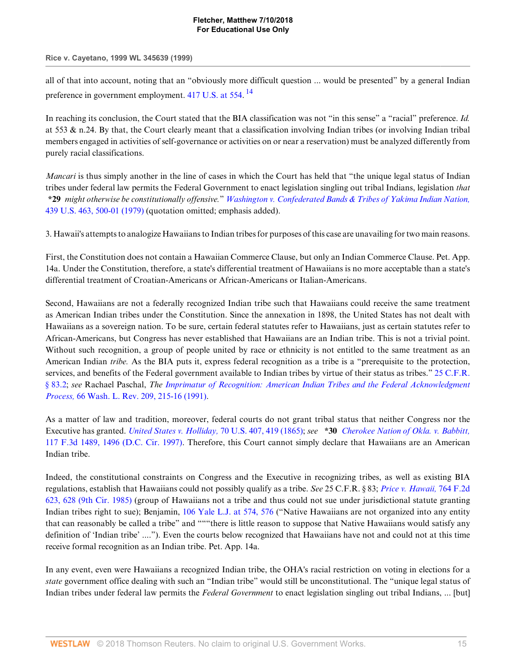#### **Rice v. Cayetano, 1999 WL 345639 (1999)**

<span id="page-14-0"></span>all of that into account, noting that an "obviously more difficult question ... would be presented" by a general Indian preference in government employment. [417 U.S. at 554](http://www.westlaw.com/Link/Document/FullText?findType=Y&serNum=1974127219&pubNum=780&originatingDoc=I52e8e4b26bef11d8afd1fdfc79654ecb&refType=RP&fi=co_pp_sp_780_554&originationContext=document&vr=3.0&rs=cblt1.0&transitionType=DocumentItem&contextData=(sc.Default)#co_pp_sp_780_554).<sup>[14](#page-16-6)</sup>

In reaching its conclusion, the Court stated that the BIA classification was not "in this sense" a "racial" preference. *Id.* at 553 & n.24. By that, the Court clearly meant that a classification involving Indian tribes (or involving Indian tribal members engaged in activities of self-governance or activities on or near a reservation) must be analyzed differently from purely racial classifications.

*Mancari* is thus simply another in the line of cases in which the Court has held that "the unique legal status of Indian tribes under federal law permits the Federal Government to enact legislation singling out tribal Indians, legislation *that* **\*29** *might otherwise be constitutionally offensive.*" *[Washington v. Confederated Bands & Tribes of Yakima Indian Nation,](http://www.westlaw.com/Link/Document/FullText?findType=Y&serNum=1979108021&pubNum=780&originatingDoc=I52e8e4b26bef11d8afd1fdfc79654ecb&refType=RP&fi=co_pp_sp_780_500&originationContext=document&vr=3.0&rs=cblt1.0&transitionType=DocumentItem&contextData=(sc.Default)#co_pp_sp_780_500)* [439 U.S. 463, 500-01 \(1979\)](http://www.westlaw.com/Link/Document/FullText?findType=Y&serNum=1979108021&pubNum=780&originatingDoc=I52e8e4b26bef11d8afd1fdfc79654ecb&refType=RP&fi=co_pp_sp_780_500&originationContext=document&vr=3.0&rs=cblt1.0&transitionType=DocumentItem&contextData=(sc.Default)#co_pp_sp_780_500) (quotation omitted; emphasis added).

3. Hawaii's attempts to analogize Hawaiians to Indian tribes for purposes of this case are unavailing for two main reasons.

First, the Constitution does not contain a Hawaiian Commerce Clause, but only an Indian Commerce Clause. Pet. App. 14a. Under the Constitution, therefore, a state's differential treatment of Hawaiians is no more acceptable than a state's differential treatment of Croatian-Americans or African-Americans or Italian-Americans.

Second, Hawaiians are not a federally recognized Indian tribe such that Hawaiians could receive the same treatment as American Indian tribes under the Constitution. Since the annexation in 1898, the United States has not dealt with Hawaiians as a sovereign nation. To be sure, certain federal statutes refer to Hawaiians, just as certain statutes refer to African-Americans, but Congress has never established that Hawaiians are an Indian tribe. This is not a trivial point. Without such recognition, a group of people united by race or ethnicity is not entitled to the same treatment as an American Indian *tribe.* As the BIA puts it, express federal recognition as a tribe is a "prerequisite to the protection, services, and benefits of the Federal government available to Indian tribes by virtue of their status as tribes." [25 C.F.R.](http://www.westlaw.com/Link/Document/FullText?findType=L&pubNum=1000547&cite=25CFRS83.2&originatingDoc=I52e8e4b26bef11d8afd1fdfc79654ecb&refType=LQ&originationContext=document&vr=3.0&rs=cblt1.0&transitionType=DocumentItem&contextData=(sc.Default)) [§ 83.2;](http://www.westlaw.com/Link/Document/FullText?findType=L&pubNum=1000547&cite=25CFRS83.2&originatingDoc=I52e8e4b26bef11d8afd1fdfc79654ecb&refType=LQ&originationContext=document&vr=3.0&rs=cblt1.0&transitionType=DocumentItem&contextData=(sc.Default)) *see* Rachael Paschal, *The [Imprimatur of Recognition: American Indian Tribes and the Federal Acknowledgment](http://www.westlaw.com/Link/Document/FullText?findType=Y&serNum=0101419723&pubNum=1281&originatingDoc=I52e8e4b26bef11d8afd1fdfc79654ecb&refType=LR&fi=co_pp_sp_1281_215&originationContext=document&vr=3.0&rs=cblt1.0&transitionType=DocumentItem&contextData=(sc.Default)#co_pp_sp_1281_215) Process,* [66 Wash. L. Rev. 209, 215-16 \(1991\)](http://www.westlaw.com/Link/Document/FullText?findType=Y&serNum=0101419723&pubNum=1281&originatingDoc=I52e8e4b26bef11d8afd1fdfc79654ecb&refType=LR&fi=co_pp_sp_1281_215&originationContext=document&vr=3.0&rs=cblt1.0&transitionType=DocumentItem&contextData=(sc.Default)#co_pp_sp_1281_215).

As a matter of law and tradition, moreover, federal courts do not grant tribal status that neither Congress nor the Executive has granted. *[United States v. Holliday,](http://www.westlaw.com/Link/Document/FullText?findType=Y&serNum=1865197375&pubNum=780&originatingDoc=I52e8e4b26bef11d8afd1fdfc79654ecb&refType=RP&fi=co_pp_sp_780_419&originationContext=document&vr=3.0&rs=cblt1.0&transitionType=DocumentItem&contextData=(sc.Default)#co_pp_sp_780_419)* 70 U.S. 407, 419 (1865); *see* **\*30** *[Cherokee Nation of Okla. v. Babbitt,](http://www.westlaw.com/Link/Document/FullText?findType=Y&serNum=1997138739&pubNum=506&originatingDoc=I52e8e4b26bef11d8afd1fdfc79654ecb&refType=RP&fi=co_pp_sp_506_1496&originationContext=document&vr=3.0&rs=cblt1.0&transitionType=DocumentItem&contextData=(sc.Default)#co_pp_sp_506_1496)* [117 F.3d 1489, 1496 \(D.C. Cir. 1997\)](http://www.westlaw.com/Link/Document/FullText?findType=Y&serNum=1997138739&pubNum=506&originatingDoc=I52e8e4b26bef11d8afd1fdfc79654ecb&refType=RP&fi=co_pp_sp_506_1496&originationContext=document&vr=3.0&rs=cblt1.0&transitionType=DocumentItem&contextData=(sc.Default)#co_pp_sp_506_1496). Therefore, this Court cannot simply declare that Hawaiians are an American Indian tribe.

Indeed, the constitutional constraints on Congress and the Executive in recognizing tribes, as well as existing BIA regulations, establish that Hawaiians could not possibly qualify as a tribe. *See* 25 C.F.R. § 83; *[Price v. Hawaii,](http://www.westlaw.com/Link/Document/FullText?findType=Y&serNum=1985132287&pubNum=350&originatingDoc=I52e8e4b26bef11d8afd1fdfc79654ecb&refType=RP&fi=co_pp_sp_350_628&originationContext=document&vr=3.0&rs=cblt1.0&transitionType=DocumentItem&contextData=(sc.Default)#co_pp_sp_350_628)* 764 F.2d [623, 628 \(9th Cir. 1985\)](http://www.westlaw.com/Link/Document/FullText?findType=Y&serNum=1985132287&pubNum=350&originatingDoc=I52e8e4b26bef11d8afd1fdfc79654ecb&refType=RP&fi=co_pp_sp_350_628&originationContext=document&vr=3.0&rs=cblt1.0&transitionType=DocumentItem&contextData=(sc.Default)#co_pp_sp_350_628) (group of Hawaiians not a tribe and thus could not sue under jurisdictional statute granting Indian tribes right to sue); Benjamin, [106 Yale L.J. at 574, 576](http://www.westlaw.com/Link/Document/FullText?findType=Y&serNum=0107124640&pubNum=1292&originatingDoc=I52e8e4b26bef11d8afd1fdfc79654ecb&refType=LR&fi=co_pp_sp_1292_574&originationContext=document&vr=3.0&rs=cblt1.0&transitionType=DocumentItem&contextData=(sc.Default)#co_pp_sp_1292_574) ("Native Hawaiians are not organized into any entity that can reasonably be called a tribe" and """there is little reason to suppose that Native Hawaiians would satisfy any definition of 'Indian tribe' ...."). Even the courts below recognized that Hawaiians have not and could not at this time receive formal recognition as an Indian tribe. Pet. App. 14a.

In any event, even were Hawaiians a recognized Indian tribe, the OHA's racial restriction on voting in elections for a *state* government office dealing with such an "Indian tribe" would still be unconstitutional. The "unique legal status of Indian tribes under federal law permits the *Federal Government* to enact legislation singling out tribal Indians, ... [but]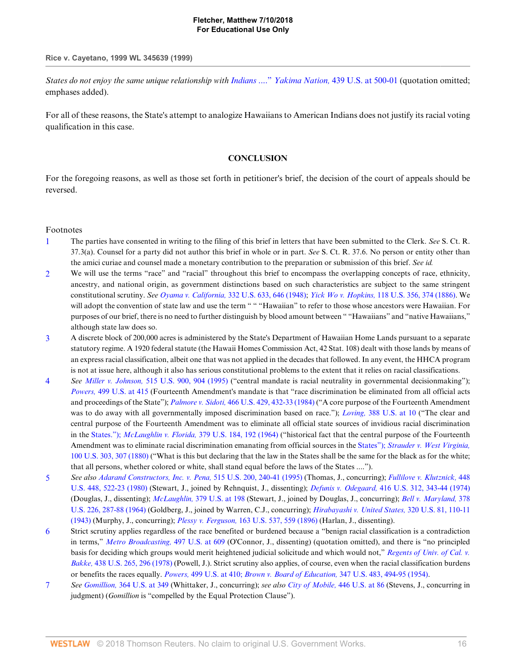#### **Rice v. Cayetano, 1999 WL 345639 (1999)**

*States do not enjoy the same unique relationship with Indians* ...." *Yakima Nation,* [439 U.S. at 500-01](http://www.westlaw.com/Link/Document/FullText?findType=Y&serNum=1979108021&pubNum=780&originatingDoc=I52e8e4b26bef11d8afd1fdfc79654ecb&refType=RP&fi=co_pp_sp_780_500&originationContext=document&vr=3.0&rs=cblt1.0&transitionType=DocumentItem&contextData=(sc.Default)#co_pp_sp_780_500) (quotation omitted; emphases added).

For all of these reasons, the State's attempt to analogize Hawaiians to American Indians does not justify its racial voting qualification in this case.

### **CONCLUSION**

For the foregoing reasons, as well as those set forth in petitioner's brief, the decision of the court of appeals should be reversed.

### Footnotes

- <span id="page-15-0"></span>[1](#page-2-0) The parties have consented in writing to the filing of this brief in letters that have been submitted to the Clerk. *See* S. Ct. R. 37.3(a). Counsel for a party did not author this brief in whole or in part. *See* S. Ct. R. 37.6. No person or entity other than the amici curiae and counsel made a monetary contribution to the preparation or submission of this brief. *See id.*
- <span id="page-15-1"></span>[2](#page-4-0) We will use the terms "race" and "racial" throughout this brief to encompass the overlapping concepts of race, ethnicity, ancestry, and national origin, as government distinctions based on such characteristics are subject to the same stringent constitutional scrutiny. *See Oyama v. California,* [332 U.S. 633, 646 \(1948\)](http://www.westlaw.com/Link/Document/FullText?findType=Y&serNum=1948117968&pubNum=780&originatingDoc=I52e8e4b26bef11d8afd1fdfc79654ecb&refType=RP&fi=co_pp_sp_780_646&originationContext=document&vr=3.0&rs=cblt1.0&transitionType=DocumentItem&contextData=(sc.Default)#co_pp_sp_780_646); *Yick Wo v. Hopkins,* [118 U.S. 356, 374 \(1886\).](http://www.westlaw.com/Link/Document/FullText?findType=Y&serNum=1886180012&pubNum=780&originatingDoc=I52e8e4b26bef11d8afd1fdfc79654ecb&refType=RP&fi=co_pp_sp_780_374&originationContext=document&vr=3.0&rs=cblt1.0&transitionType=DocumentItem&contextData=(sc.Default)#co_pp_sp_780_374) We will adopt the convention of state law and use the term " " "Hawaiian" to refer to those whose ancestors were Hawaiian. For purposes of our brief, there is no need to further distinguish by blood amount between " "Hawaiians" and "native Hawaiians," although state law does so.
- <span id="page-15-2"></span>[3](#page-4-1) A discrete block of 200,000 acres is administered by the State's Department of Hawaiian Home Lands pursuant to a separate statutory regime. A 1920 federal statute (the Hawaii Homes Commission Act, 42 Stat. 108) dealt with those lands by means of an express racial classification, albeit one that was not applied in the decades that followed. In any event, the HHCA program is not at issue here, although it also has serious constitutional problems to the extent that it relies on racial classifications.
- <span id="page-15-3"></span>[4](#page-7-0) *See Miller v. Johnson,* [515 U.S. 900, 904 \(1995\)](http://www.westlaw.com/Link/Document/FullText?findType=Y&serNum=1995137594&pubNum=780&originatingDoc=I52e8e4b26bef11d8afd1fdfc79654ecb&refType=RP&fi=co_pp_sp_780_904&originationContext=document&vr=3.0&rs=cblt1.0&transitionType=DocumentItem&contextData=(sc.Default)#co_pp_sp_780_904) ("central mandate is racial neutrality in governmental decisionmaking"); *Powers,* [499 U.S. at 415](http://www.westlaw.com/Link/Document/FullText?findType=Y&serNum=1991062987&pubNum=780&originatingDoc=I52e8e4b26bef11d8afd1fdfc79654ecb&refType=RP&fi=co_pp_sp_780_415&originationContext=document&vr=3.0&rs=cblt1.0&transitionType=DocumentItem&contextData=(sc.Default)#co_pp_sp_780_415) (Fourteenth Amendment's mandate is that "race discrimination be eliminated from all official acts and proceedings of the State"); *Palmore v. Sidoti,* [466 U.S. 429, 432-33 \(1984\)](http://www.westlaw.com/Link/Document/FullText?findType=Y&serNum=1984120053&pubNum=780&originatingDoc=I52e8e4b26bef11d8afd1fdfc79654ecb&refType=RP&fi=co_pp_sp_780_432&originationContext=document&vr=3.0&rs=cblt1.0&transitionType=DocumentItem&contextData=(sc.Default)#co_pp_sp_780_432) ("A core purpose of the Fourteenth Amendment was to do away with all governmentally imposed discrimination based on race."); *Loving,* [388 U.S. at 10](http://www.westlaw.com/Link/Document/FullText?findType=Y&serNum=1967129542&pubNum=780&originatingDoc=I52e8e4b26bef11d8afd1fdfc79654ecb&refType=RP&fi=co_pp_sp_780_10&originationContext=document&vr=3.0&rs=cblt1.0&transitionType=DocumentItem&contextData=(sc.Default)#co_pp_sp_780_10) ("The clear and central purpose of the Fourteenth Amendment was to eliminate all official state sources of invidious racial discrimination in the States."); *McLaughlin v. Florida,* [379 U.S. 184, 192 \(1964\)](http://www.westlaw.com/Link/Document/FullText?findType=Y&serNum=1964124890&pubNum=780&originatingDoc=I52e8e4b26bef11d8afd1fdfc79654ecb&refType=RP&fi=co_pp_sp_780_192&originationContext=document&vr=3.0&rs=cblt1.0&transitionType=DocumentItem&contextData=(sc.Default)#co_pp_sp_780_192) ("historical fact that the central purpose of the Fourteenth Amendment was to eliminate racial discrimination emanating from official sources in the States"); *[Strauder v. West Virginia,](http://www.westlaw.com/Link/Document/FullText?findType=Y&serNum=1800132385&pubNum=780&originatingDoc=I52e8e4b26bef11d8afd1fdfc79654ecb&refType=RP&fi=co_pp_sp_780_307&originationContext=document&vr=3.0&rs=cblt1.0&transitionType=DocumentItem&contextData=(sc.Default)#co_pp_sp_780_307)* [100 U.S. 303, 307 \(1880\)](http://www.westlaw.com/Link/Document/FullText?findType=Y&serNum=1800132385&pubNum=780&originatingDoc=I52e8e4b26bef11d8afd1fdfc79654ecb&refType=RP&fi=co_pp_sp_780_307&originationContext=document&vr=3.0&rs=cblt1.0&transitionType=DocumentItem&contextData=(sc.Default)#co_pp_sp_780_307) ("What is this but declaring that the law in the States shall be the same for the black as for the white; that all persons, whether colored or white, shall stand equal before the laws of the States ....").
- <span id="page-15-4"></span>[5](#page-7-1) *See also [Adarand Constructors, Inc. v. Pena,](http://www.westlaw.com/Link/Document/FullText?findType=Y&serNum=1995125532&pubNum=780&originatingDoc=I52e8e4b26bef11d8afd1fdfc79654ecb&refType=RP&fi=co_pp_sp_780_240&originationContext=document&vr=3.0&rs=cblt1.0&transitionType=DocumentItem&contextData=(sc.Default)#co_pp_sp_780_240)* 515 U.S. 200, 240-41 (1995) (Thomas, J., concurring); *[Fullilove v. Klutznick,](http://www.westlaw.com/Link/Document/FullText?findType=Y&serNum=1980116812&pubNum=780&originatingDoc=I52e8e4b26bef11d8afd1fdfc79654ecb&refType=RP&fi=co_pp_sp_780_522&originationContext=document&vr=3.0&rs=cblt1.0&transitionType=DocumentItem&contextData=(sc.Default)#co_pp_sp_780_522)* 448 [U.S. 448, 522-23 \(1980\)](http://www.westlaw.com/Link/Document/FullText?findType=Y&serNum=1980116812&pubNum=780&originatingDoc=I52e8e4b26bef11d8afd1fdfc79654ecb&refType=RP&fi=co_pp_sp_780_522&originationContext=document&vr=3.0&rs=cblt1.0&transitionType=DocumentItem&contextData=(sc.Default)#co_pp_sp_780_522) (Stewart, J., joined by Rehnquist, J., dissenting); *Defunis v. Odegaard,* [416 U.S. 312, 343-44 \(1974\)](http://www.westlaw.com/Link/Document/FullText?findType=Y&serNum=1974127166&pubNum=780&originatingDoc=I52e8e4b26bef11d8afd1fdfc79654ecb&refType=RP&fi=co_pp_sp_780_343&originationContext=document&vr=3.0&rs=cblt1.0&transitionType=DocumentItem&contextData=(sc.Default)#co_pp_sp_780_343) (Douglas, J., dissenting); *McLaughlin,* [379 U.S. at 198](http://www.westlaw.com/Link/Document/FullText?findType=Y&serNum=1964124890&pubNum=780&originatingDoc=I52e8e4b26bef11d8afd1fdfc79654ecb&refType=RP&fi=co_pp_sp_780_198&originationContext=document&vr=3.0&rs=cblt1.0&transitionType=DocumentItem&contextData=(sc.Default)#co_pp_sp_780_198) (Stewart, J., joined by Douglas, J., concurring); *[Bell v. Maryland,](http://www.westlaw.com/Link/Document/FullText?findType=Y&serNum=1964124874&pubNum=780&originatingDoc=I52e8e4b26bef11d8afd1fdfc79654ecb&refType=RP&fi=co_pp_sp_780_287&originationContext=document&vr=3.0&rs=cblt1.0&transitionType=DocumentItem&contextData=(sc.Default)#co_pp_sp_780_287)* 378 [U.S. 226, 287-88 \(1964\)](http://www.westlaw.com/Link/Document/FullText?findType=Y&serNum=1964124874&pubNum=780&originatingDoc=I52e8e4b26bef11d8afd1fdfc79654ecb&refType=RP&fi=co_pp_sp_780_287&originationContext=document&vr=3.0&rs=cblt1.0&transitionType=DocumentItem&contextData=(sc.Default)#co_pp_sp_780_287) (Goldberg, J., joined by Warren, C.J., concurring); *[Hirabayashi v. United States,](http://www.westlaw.com/Link/Document/FullText?findType=Y&serNum=1943117918&pubNum=780&originatingDoc=I52e8e4b26bef11d8afd1fdfc79654ecb&refType=RP&fi=co_pp_sp_780_110&originationContext=document&vr=3.0&rs=cblt1.0&transitionType=DocumentItem&contextData=(sc.Default)#co_pp_sp_780_110)* 320 U.S. 81, 110-11 [\(1943\)](http://www.westlaw.com/Link/Document/FullText?findType=Y&serNum=1943117918&pubNum=780&originatingDoc=I52e8e4b26bef11d8afd1fdfc79654ecb&refType=RP&fi=co_pp_sp_780_110&originationContext=document&vr=3.0&rs=cblt1.0&transitionType=DocumentItem&contextData=(sc.Default)#co_pp_sp_780_110) (Murphy, J., concurring); *Plessy v. Ferguson,* [163 U.S. 537, 559 \(1896\)](http://www.westlaw.com/Link/Document/FullText?findType=Y&serNum=1896180043&pubNum=780&originatingDoc=I52e8e4b26bef11d8afd1fdfc79654ecb&refType=RP&fi=co_pp_sp_780_559&originationContext=document&vr=3.0&rs=cblt1.0&transitionType=DocumentItem&contextData=(sc.Default)#co_pp_sp_780_559) (Harlan, J., dissenting).
- <span id="page-15-5"></span>[6](#page-7-2) Strict scrutiny applies regardless of the race benefited or burdened because a "benign racial classification is a contradiction in terms," *[Metro Broadcasting,](http://www.westlaw.com/Link/Document/FullText?findType=Y&serNum=1990098027&pubNum=780&originatingDoc=I52e8e4b26bef11d8afd1fdfc79654ecb&refType=RP&fi=co_pp_sp_780_609&originationContext=document&vr=3.0&rs=cblt1.0&transitionType=DocumentItem&contextData=(sc.Default)#co_pp_sp_780_609)* 497 U.S. at 609 (O'Connor, J., dissenting) (quotation omitted), and there is "no principled basis for deciding which groups would merit heightened judicial solicitude and which would not," *[Regents of Univ. of Cal. v.](http://www.westlaw.com/Link/Document/FullText?findType=Y&serNum=1978139508&pubNum=780&originatingDoc=I52e8e4b26bef11d8afd1fdfc79654ecb&refType=RP&fi=co_pp_sp_780_296&originationContext=document&vr=3.0&rs=cblt1.0&transitionType=DocumentItem&contextData=(sc.Default)#co_pp_sp_780_296) Bakke,* [438 U.S. 265, 296 \(1978\)](http://www.westlaw.com/Link/Document/FullText?findType=Y&serNum=1978139508&pubNum=780&originatingDoc=I52e8e4b26bef11d8afd1fdfc79654ecb&refType=RP&fi=co_pp_sp_780_296&originationContext=document&vr=3.0&rs=cblt1.0&transitionType=DocumentItem&contextData=(sc.Default)#co_pp_sp_780_296) (Powell, J.). Strict scrutiny also applies, of course, even when the racial classification burdens or benefits the races equally. *Powers,* [499 U.S. at 410;](http://www.westlaw.com/Link/Document/FullText?findType=Y&serNum=1991062987&pubNum=780&originatingDoc=I52e8e4b26bef11d8afd1fdfc79654ecb&refType=RP&fi=co_pp_sp_780_410&originationContext=document&vr=3.0&rs=cblt1.0&transitionType=DocumentItem&contextData=(sc.Default)#co_pp_sp_780_410) *[Brown v. Board of Education,](http://www.westlaw.com/Link/Document/FullText?findType=Y&serNum=1954121869&pubNum=780&originatingDoc=I52e8e4b26bef11d8afd1fdfc79654ecb&refType=RP&fi=co_pp_sp_780_494&originationContext=document&vr=3.0&rs=cblt1.0&transitionType=DocumentItem&contextData=(sc.Default)#co_pp_sp_780_494)* 347 U.S. 483, 494-95 (1954).
- <span id="page-15-6"></span>[7](#page-7-3) *See Gomillion,* [364 U.S. at 349](http://www.westlaw.com/Link/Document/FullText?findType=Y&serNum=1960122585&pubNum=780&originatingDoc=I52e8e4b26bef11d8afd1fdfc79654ecb&refType=RP&fi=co_pp_sp_780_349&originationContext=document&vr=3.0&rs=cblt1.0&transitionType=DocumentItem&contextData=(sc.Default)#co_pp_sp_780_349) (Whittaker, J., concurring); *see also [City of Mobile,](http://www.westlaw.com/Link/Document/FullText?findType=Y&serNum=1980111419&pubNum=780&originatingDoc=I52e8e4b26bef11d8afd1fdfc79654ecb&refType=RP&fi=co_pp_sp_780_86&originationContext=document&vr=3.0&rs=cblt1.0&transitionType=DocumentItem&contextData=(sc.Default)#co_pp_sp_780_86)* 446 U.S. at 86 (Stevens, J., concurring in judgment) (*Gomillion* is "compelled by the Equal Protection Clause").